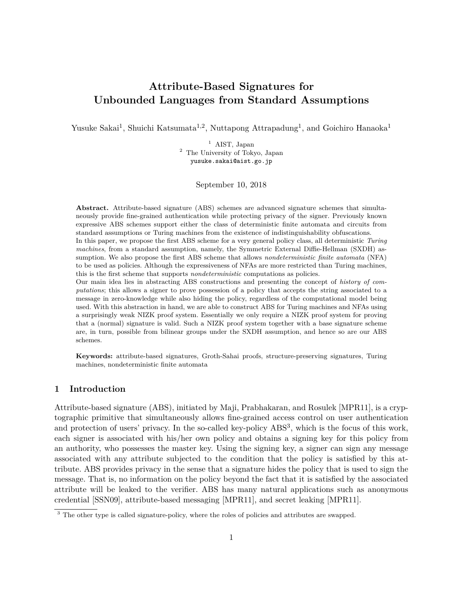# **Attribute-Based Signatures for Unbounded Languages from Standard Assumptions**

Yusuke Sakai<sup>1</sup>, Shuichi Katsumata<sup>1,2</sup>, Nuttapong Attrapadung<sup>1</sup>, and Goichiro Hanaoka<sup>1</sup>

<sup>1</sup> AIST, Japan <sup>2</sup> The University of Tokyo, Japan yusuke.sakai@aist.go.jp

September 10, 2018

**Abstract.** Attribute-based signature (ABS) schemes are advanced signature schemes that simultaneously provide fine-grained authentication while protecting privacy of the signer. Previously known expressive ABS schemes support either the class of deterministic finite automata and circuits from standard assumptions or Turing machines from the existence of indistinguishability obfuscations.

In this paper, we propose the first ABS scheme for a very general policy class, all deterministic *Turing machines*, from a standard assumption, namely, the Symmetric External Diffie-Hellman (SXDH) assumption. We also propose the first ABS scheme that allows *nondeterministic finite automata* (NFA) to be used as policies. Although the expressiveness of NFAs are more restricted than Turing machines, this is the first scheme that supports *nondeterministic* computations as policies.

Our main idea lies in abstracting ABS constructions and presenting the concept of *history of computations*; this allows a signer to prove possession of a policy that accepts the string associated to a message in zero-knowledge while also hiding the policy, regardless of the computational model being used. With this abstraction in hand, we are able to construct ABS for Turing machines and NFAs using a surprisingly weak NIZK proof system. Essentially we only require a NIZK proof system for proving that a (normal) signature is valid. Such a NIZK proof system together with a base signature scheme are, in turn, possible from bilinear groups under the SXDH assumption, and hence so are our ABS schemes.

**Keywords:** attribute-based signatures, Groth-Sahai proofs, structure-preserving signatures, Turing machines, nondeterministic finite automata

# **1 Introduction**

Attribute-based signature (ABS), initiated by Maji, Prabhakaran, and Rosulek [MPR11], is a cryptographic primitive that simultaneously allows fine-grained access control on user authentication and protection of users' privacy. In the so-called key-policy ABS<sup>3</sup>, which is the focus of this work, each signer is associated with his/her own policy and obtains a signing key for this policy from an authority, who possesses the master key. Using the signing key, a signer can sign any message associated with any attribute subjected to the condition that the policy is satisfied by this attribute. ABS provides privacy in the sense that a signature hides the policy that is used to sign the message. That is, no information on the policy beyond the fact that it is satisfied by the associated attribute will be leaked to the verifier. ABS has many natural applications such as anonymous credential [SSN09], attribute-based messaging [MPR11], and secret leaking [MPR11].

 $\overline{3}$  The other type is called signature-policy, where the roles of policies and attributes are swapped.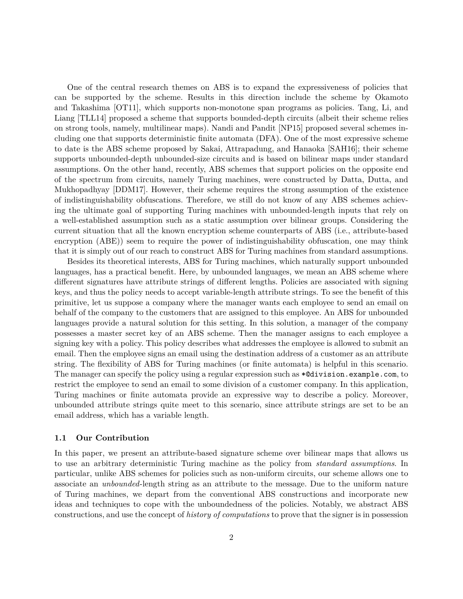One of the central research themes on ABS is to expand the expressiveness of policies that can be supported by the scheme. Results in this direction include the scheme by Okamoto and Takashima [OT11], which supports non-monotone span programs as policies. Tang, Li, and Liang [TLL14] proposed a scheme that supports bounded-depth circuits (albeit their scheme relies on strong tools, namely, multilinear maps). Nandi and Pandit [NP15] proposed several schemes including one that supports deterministic finite automata (DFA). One of the most expressive scheme to date is the ABS scheme proposed by Sakai, Attrapadung, and Hanaoka [SAH16]; their scheme supports unbounded-depth unbounded-size circuits and is based on bilinear maps under standard assumptions. On the other hand, recently, ABS schemes that support policies on the opposite end of the spectrum from circuits, namely Turing machines, were constructed by Datta, Dutta, and Mukhopadhyay [DDM17]. However, their scheme requires the strong assumption of the existence of indistinguishability obfuscations. Therefore, we still do not know of any ABS schemes achieving the ultimate goal of supporting Turing machines with unbounded-length inputs that rely on a well-established assumption such as a static assumption over bilinear groups. Considering the current situation that all the known encryption scheme counterparts of ABS (i.e., attribute-based encryption (ABE)) seem to require the power of indistinguishability obfuscation, one may think that it is simply out of our reach to construct ABS for Turing machines from standard assumptions.

Besides its theoretical interests, ABS for Turing machines, which naturally support unbounded languages, has a practical benefit. Here, by unbounded languages, we mean an ABS scheme where different signatures have attribute strings of different lengths. Policies are associated with signing keys, and thus the policy needs to accept variable-length attribute strings. To see the benefit of this primitive, let us suppose a company where the manager wants each employee to send an email on behalf of the company to the customers that are assigned to this employee. An ABS for unbounded languages provide a natural solution for this setting. In this solution, a manager of the company possesses a master secret key of an ABS scheme. Then the manager assigns to each employee a signing key with a policy. This policy describes what addresses the employee is allowed to submit an email. Then the employee signs an email using the destination address of a customer as an attribute string. The flexibility of ABS for Turing machines (or finite automata) is helpful in this scenario. The manager can specify the policy using a regular expression such as \*@division.example.com, to restrict the employee to send an email to some division of a customer company. In this application, Turing machines or finite automata provide an expressive way to describe a policy. Moreover, unbounded attribute strings quite meet to this scenario, since attribute strings are set to be an email address, which has a variable length.

#### **1.1 Our Contribution**

In this paper, we present an attribute-based signature scheme over bilinear maps that allows us to use an arbitrary deterministic Turing machine as the policy from *standard assumptions*. In particular, unlike ABS schemes for policies such as non-uniform circuits, our scheme allows one to associate an *unbounded*-length string as an attribute to the message. Due to the uniform nature of Turing machines, we depart from the conventional ABS constructions and incorporate new ideas and techniques to cope with the unboundedness of the policies. Notably, we abstract ABS constructions, and use the concept of *history of computations* to prove that the signer is in possession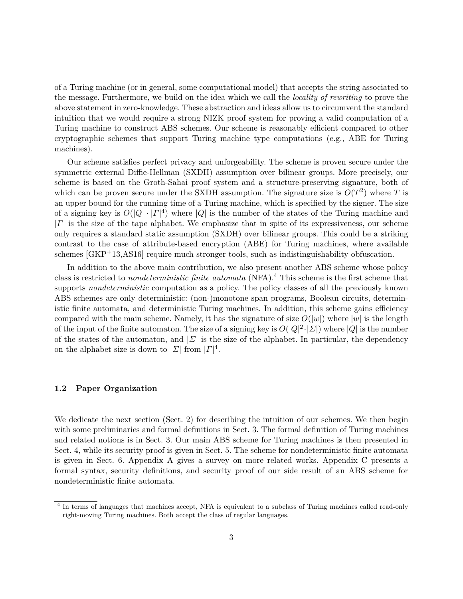of a Turing machine (or in general, some computational model) that accepts the string associated to the message. Furthermore, we build on the idea which we call the *locality of rewriting* to prove the above statement in zero-knowledge. These abstraction and ideas allow us to circumvent the standard intuition that we would require a strong NIZK proof system for proving a valid computation of a Turing machine to construct ABS schemes. Our scheme is reasonably efficient compared to other cryptographic schemes that support Turing machine type computations (e.g., ABE for Turing machines).

Our scheme satisfies perfect privacy and unforgeability. The scheme is proven secure under the symmetric external Diffie-Hellman (SXDH) assumption over bilinear groups. More precisely, our scheme is based on the Groth-Sahai proof system and a structure-preserving signature, both of which can be proven secure under the SXDH assumption. The signature size is  $O(T^2)$  where T is an upper bound for the running time of a Turing machine, which is specified by the signer. The size of a signing key is  $O(|Q| \cdot |F|^4)$  where  $|Q|$  is the number of the states of the Turing machine and  $| \Gamma |$  is the size of the tape alphabet. We emphasize that in spite of its expressiveness, our scheme only requires a standard static assumption (SXDH) over bilinear groups. This could be a striking contrast to the case of attribute-based encryption (ABE) for Turing machines, where available schemes [GKP+13,AS16] require much stronger tools, such as indistinguishability obfuscation.

In addition to the above main contribution, we also present another ABS scheme whose policy class is restricted to *nondeterministic finite automata* (NFA).<sup>4</sup> This scheme is the first scheme that supports *nondeterministic* computation as a policy. The policy classes of all the previously known ABS schemes are only deterministic: (non-)monotone span programs, Boolean circuits, deterministic finite automata, and deterministic Turing machines. In addition, this scheme gains efficiency compared with the main scheme. Namely, it has the signature of size  $O(|w|)$  where  $|w|$  is the length of the input of the finite automaton. The size of a signing key is  $O(|Q|^2 \cdot |\Sigma|)$  where  $|Q|$  is the number of the states of the automaton, and  $|\Sigma|$  is the size of the alphabet. In particular, the dependency on the alphabet size is down to  $|\mathcal{L}|$  from  $|\mathcal{L}|^4$ .

#### **1.2 Paper Organization**

We dedicate the next section (Sect. 2) for describing the intuition of our schemes. We then begin with some preliminaries and formal definitions in Sect. 3. The formal definition of Turing machines and related notions is in Sect. 3. Our main ABS scheme for Turing machines is then presented in Sect. 4, while its security proof is given in Sect. 5. The scheme for nondeterministic finite automata is given in Sect. 6. Appendix A gives a survey on more related works. Appendix C presents a formal syntax, security definitions, and security proof of our side result of an ABS scheme for nondeterministic finite automata.

<sup>&</sup>lt;sup>4</sup> In terms of languages that machines accept, NFA is equivalent to a subclass of Turing machines called read-only right-moving Turing machines. Both accept the class of regular languages.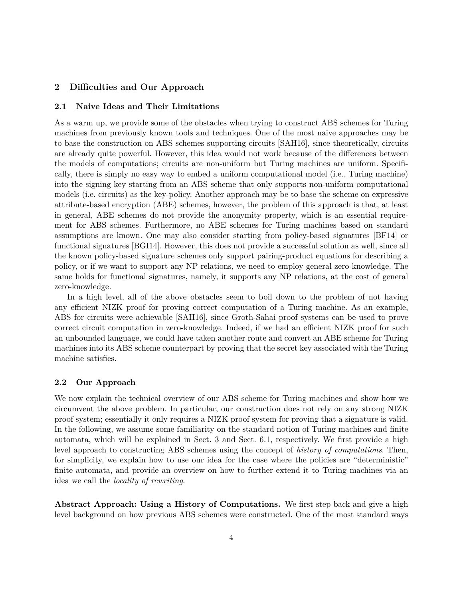# **2 Difficulties and Our Approach**

#### **2.1 Naive Ideas and Their Limitations**

As a warm up, we provide some of the obstacles when trying to construct ABS schemes for Turing machines from previously known tools and techniques. One of the most naive approaches may be to base the construction on ABS schemes supporting circuits [SAH16], since theoretically, circuits are already quite powerful. However, this idea would not work because of the differences between the models of computations; circuits are non-uniform but Turing machines are uniform. Specifically, there is simply no easy way to embed a uniform computational model (i.e., Turing machine) into the signing key starting from an ABS scheme that only supports non-uniform computational models (i.e. circuits) as the key-policy. Another approach may be to base the scheme on expressive attribute-based encryption (ABE) schemes, however, the problem of this approach is that, at least in general, ABE schemes do not provide the anonymity property, which is an essential requirement for ABS schemes. Furthermore, no ABE schemes for Turing machines based on standard assumptions are known. One may also consider starting from policy-based signatures [BF14] or functional signatures [BGI14]. However, this does not provide a successful solution as well, since all the known policy-based signature schemes only support pairing-product equations for describing a policy, or if we want to support any NP relations, we need to employ general zero-knowledge. The same holds for functional signatures, namely, it supports any NP relations, at the cost of general zero-knowledge.

In a high level, all of the above obstacles seem to boil down to the problem of not having any efficient NIZK proof for proving correct computation of a Turing machine. As an example, ABS for circuits were achievable [SAH16], since Groth-Sahai proof systems can be used to prove correct circuit computation in zero-knowledge. Indeed, if we had an efficient NIZK proof for such an unbounded language, we could have taken another route and convert an ABE scheme for Turing machines into its ABS scheme counterpart by proving that the secret key associated with the Turing machine satisfies.

#### **2.2 Our Approach**

We now explain the technical overview of our ABS scheme for Turing machines and show how we circumvent the above problem. In particular, our construction does not rely on any strong NIZK proof system; essentially it only requires a NIZK proof system for proving that a signature is valid. In the following, we assume some familiarity on the standard notion of Turing machines and finite automata, which will be explained in Sect. 3 and Sect. 6.1, respectively. We first provide a high level approach to constructing ABS schemes using the concept of *history of computations*. Then, for simplicity, we explain how to use our idea for the case where the policies are "deterministic" finite automata, and provide an overview on how to further extend it to Turing machines via an idea we call the *locality of rewriting*.

**Abstract Approach: Using a History of Computations.** We first step back and give a high level background on how previous ABS schemes were constructed. One of the most standard ways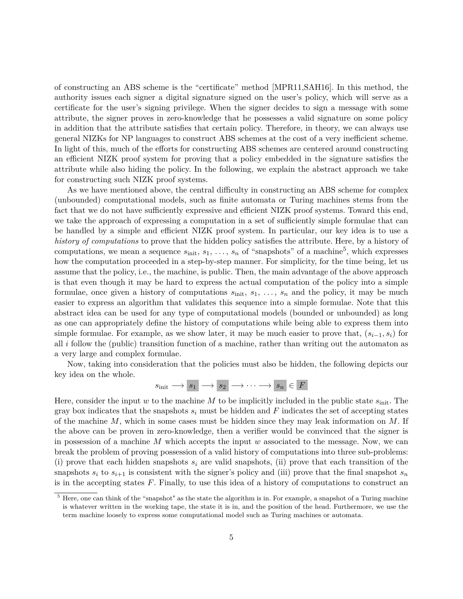of constructing an ABS scheme is the "certificate" method [MPR11,SAH16]. In this method, the authority issues each signer a digital signature signed on the user's policy, which will serve as a certificate for the user's signing privilege. When the signer decides to sign a message with some attribute, the signer proves in zero-knowledge that he possesses a valid signature on some policy in addition that the attribute satisfies that certain policy. Therefore, in theory, we can always use general NIZKs for NP languages to construct ABS schemes at the cost of a very inefficient scheme. In light of this, much of the efforts for constructing ABS schemes are centered around constructing an efficient NIZK proof system for proving that a policy embedded in the signature satisfies the attribute while also hiding the policy. In the following, we explain the abstract approach we take for constructing such NIZK proof systems.

As we have mentioned above, the central difficulty in constructing an ABS scheme for complex (unbounded) computational models, such as finite automata or Turing machines stems from the fact that we do not have sufficiently expressive and efficient NIZK proof systems. Toward this end, we take the approach of expressing a computation in a set of sufficiently simple formulae that can be handled by a simple and efficient NIZK proof system. In particular, our key idea is to use a *history of computations* to prove that the hidden policy satisfies the attribute. Here, by a history of computations, we mean a sequence  $s_{\text{init}}$ ,  $s_1$ , ...,  $s_n$  of "snapshots" of a machine<sup>5</sup>, which expresses how the computation proceeded in a step-by-step manner. For simplicity, for the time being, let us assume that the policy, i.e., the machine, is public. Then, the main advantage of the above approach is that even though it may be hard to express the actual computation of the policy into a simple formulae, once given a history of computations  $s_{\text{init}}$ ,  $s_1$ , ...,  $s_n$  and the policy, it may be much easier to express an algorithm that validates this sequence into a simple formulae. Note that this abstract idea can be used for any type of computational models (bounded or unbounded) as long as one can appropriately define the history of computations while being able to express them into simple formulae. For example, as we show later, it may be much easier to prove that,  $(s_{i-1}, s_i)$  for all *i* follow the (public) transition function of a machine, rather than writing out the automaton as a very large and complex formulae.

Now, taking into consideration that the policies must also be hidden, the following depicts our key idea on the whole.

$$
s_{\text{init}} \longrightarrow s_1 \longrightarrow s_2 \longrightarrow \cdots \longrightarrow s_n \in F
$$

Here, consider the input *w* to the machine *M* to be implicitly included in the public state *s*init. The gray box indicates that the snapshots  $s_i$  must be hidden and  $F$  indicates the set of accepting states of the machine *M*, which in some cases must be hidden since they may leak information on *M*. If the above can be proven in zero-knowledge, then a verifier would be convinced that the signer is in possession of a machine *M* which accepts the input *w* associated to the message. Now, we can break the problem of proving possession of a valid history of computations into three sub-problems: (i) prove that each hidden snapshots *s<sup>i</sup>* are valid snapshots, (ii) prove that each transition of the snapshots  $s_i$  to  $s_{i+1}$  is consistent with the signer's policy and (iii) prove that the final snapshot  $s_n$ is in the accepting states *F*. Finally, to use this idea of a history of computations to construct an

<sup>&</sup>lt;sup>5</sup> Here, one can think of the "snapshot" as the state the algorithm is in. For example, a snapshot of a Turing machine is whatever written in the working tape, the state it is in, and the position of the head. Furthermore, we use the term machine loosely to express some computational model such as Turing machines or automata.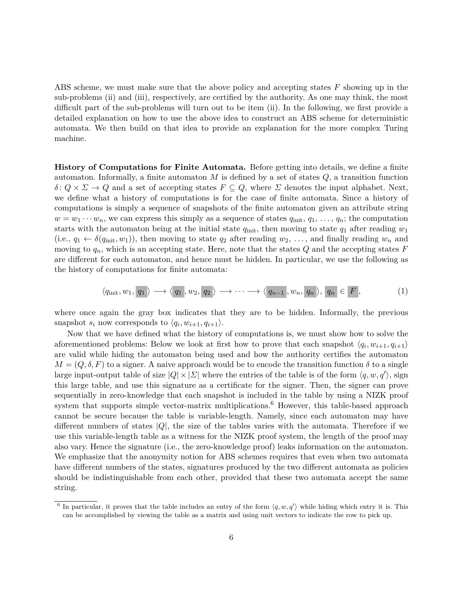ABS scheme, we must make sure that the above policy and accepting states *F* showing up in the sub-problems (ii) and (iii), respectively, are certified by the authority. As one may think, the most difficult part of the sub-problems will turn out to be item (ii). In the following, we first provide a detailed explanation on how to use the above idea to construct an ABS scheme for deterministic automata. We then build on that idea to provide an explanation for the more complex Turing machine.

**History of Computations for Finite Automata.** Before getting into details, we define a finite automaton. Informally, a finite automaton *M* is defined by a set of states *Q*, a transition function  $\delta: Q \times \Sigma \to Q$  and a set of accepting states  $F \subseteq Q$ , where  $\Sigma$  denotes the input alphabet. Next, we define what a history of computations is for the case of finite automata. Since a history of computations is simply a sequence of snapshots of the finite automaton given an attribute string  $w = w_1 \cdots w_n$ , we can express this simply as a sequence of states  $q_{\text{init}}$ ,  $q_1, \ldots, q_n$ ; the computation starts with the automaton being at the initial state  $q_{\text{init}}$ , then moving to state  $q_1$  after reading  $w_1$  $(i.e., q_1 \leftarrow \delta(q_{\text{init}}, w_1)$ , then moving to state  $q_2$  after reading  $w_2, \ldots$ , and finally reading  $w_n$  and moving to  $q_n$ , which is an accepting state. Here, note that the states  $Q$  and the accepting states  $F$ are different for each automaton, and hence must be hidden. In particular, we use the following as the history of computations for finite automata:

$$
\langle q_{\text{init}}, w_1, q_1 \rangle \longrightarrow \langle q_1, w_2, q_2 \rangle \longrightarrow \cdots \longrightarrow \langle q_{n-1}, w_n, q_n \rangle, |q_n| \in F,
$$
 (1)

where once again the gray box indicates that they are to be hidden. Informally, the previous snapshot  $s_i$  now corresponds to  $\langle q_i, w_{i+1}, q_{i+1} \rangle$ .

Now that we have defined what the history of computations is, we must show how to solve the aforementioned problems: Below we look at first how to prove that each snapshot  $\langle q_i, w_{i+1}, q_{i+1} \rangle$ are valid while hiding the automaton being used and how the authority certifies the automaton  $M = (Q, \delta, F)$  to a signer. A naive approach would be to encode the transition function  $\delta$  to a single large input-output table of size  $|Q| \times |\Sigma|$  where the entries of the table is of the form  $\langle q, w, q' \rangle$ , sign this large table, and use this signature as a certificate for the signer. Then, the signer can prove sequentially in zero-knowledge that each snapshot is included in the table by using a NIZK proof system that supports simple vector-matrix multiplications.<sup>6</sup> However, this table-based approach cannot be secure because the table is variable-length. Namely, since each automaton may have different numbers of states |*Q*|, the size of the tables varies with the automata. Therefore if we use this variable-length table as a witness for the NIZK proof system, the length of the proof may also vary. Hence the signature (i.e., the zero-knowledge proof) leaks information on the automaton. We emphasize that the anonymity notion for ABS schemes requires that even when two automata have different numbers of the states, signatures produced by the two different automata as policies should be indistinguishable from each other, provided that these two automata accept the same string.

<sup>&</sup>lt;sup>6</sup> In particular, it proves that the table includes an entry of the form  $\langle q, w, q' \rangle$  while hiding which entry it is. This can be accomplished by viewing the table as a matrix and using unit vectors to indicate the row to pick up.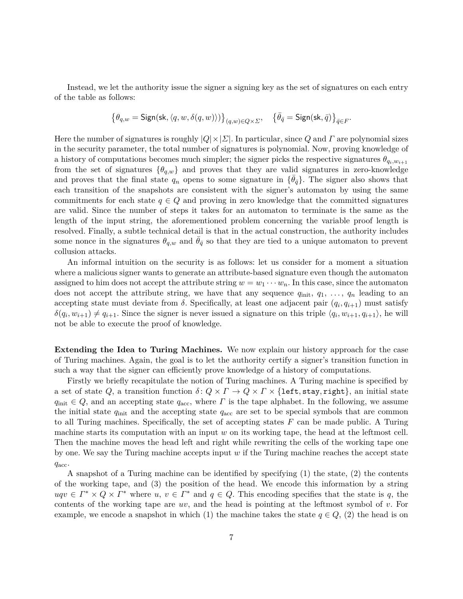Instead, we let the authority issue the signer a signing key as the set of signatures on each entry of the table as follows:

$$
\left\{\theta_{q,w}=\mathsf{Sign}(\mathsf{sk},\langle q,w,\delta(q,w)\rangle)\right\}_{(q,w)\in Q\times \varSigma},\quad \left\{\bar{\theta}_{\bar{q}}=\mathsf{Sign}(\mathsf{sk},\bar{q})\right\}_{\bar{q}\in F}.
$$

Here the number of signatures is roughly  $|Q| \times |E|$ . In particular, since *Q* and *Γ* are polynomial sizes in the security parameter, the total number of signatures is polynomial. Now, proving knowledge of a history of computations becomes much simpler; the signer picks the respective signatures  $\theta_{q_i,w_{i+1}}$ from the set of signatures  $\{\theta_{q,w}\}$  and proves that they are valid signatures in zero-knowledge and proves that the final state  $q_n$  opens to some signature in  $\{\bar{\theta}_{\bar{q}}\}$ . The signer also shows that each transition of the snapshots are consistent with the signer's automaton by using the same commitments for each state  $q \in Q$  and proving in zero knowledge that the committed signatures are valid. Since the number of steps it takes for an automaton to terminate is the same as the length of the input string, the aforementioned problem concerning the variable proof length is resolved. Finally, a subtle technical detail is that in the actual construction, the authority includes some nonce in the signatures  $\theta_{q,w}$  and  $\theta_{\bar{q}}$  so that they are tied to a unique automaton to prevent collusion attacks.

An informal intuition on the security is as follows: let us consider for a moment a situation where a malicious signer wants to generate an attribute-based signature even though the automaton assigned to him does not accept the attribute string  $w = w_1 \cdots w_n$ . In this case, since the automaton does not accept the attribute string, we have that any sequence  $q_{\text{init}}$ ,  $q_1$ , ...,  $q_n$  leading to an accepting state must deviate from  $\delta$ . Specifically, at least one adjacent pair  $(q_i, q_{i+1})$  must satisfy  $\delta(q_i, w_{i+1}) \neq q_{i+1}$ . Since the signer is never issued a signature on this triple  $\langle q_i, w_{i+1}, q_{i+1} \rangle$ , he will not be able to execute the proof of knowledge.

**Extending the Idea to Turing Machines.** We now explain our history approach for the case of Turing machines. Again, the goal is to let the authority certify a signer's transition function in such a way that the signer can efficiently prove knowledge of a history of computations.

Firstly we briefly recapitulate the notion of Turing machines. A Turing machine is specified by a set of state *Q*, a transition function  $\delta: Q \times \Gamma \to Q \times \Gamma \times \{\text{left}, \text{stay}, \text{right}\},$  an initial state  $q_{\text{init}} \in Q$ , and an accepting state  $q_{\text{acc}}$ , where *Γ* is the tape alphabet. In the following, we assume the initial state *q*init and the accepting state *q*acc are set to be special symbols that are common to all Turing machines. Specifically, the set of accepting states *F* can be made public. A Turing machine starts its computation with an input *w* on its working tape, the head at the leftmost cell. Then the machine moves the head left and right while rewriting the cells of the working tape one by one. We say the Turing machine accepts input *w* if the Turing machine reaches the accept state *q*acc.

A snapshot of a Turing machine can be identified by specifying (1) the state, (2) the contents of the working tape, and (3) the position of the head. We encode this information by a string  $uqv \in \Gamma^* \times Q \times \Gamma^*$  where  $u, v \in \Gamma^*$  and  $q \in Q$ . This encoding specifies that the state is *q*, the contents of the working tape are *uv*, and the head is pointing at the leftmost symbol of *v*. For example, we encode a snapshot in which (1) the machine takes the state  $q \in Q$ , (2) the head is on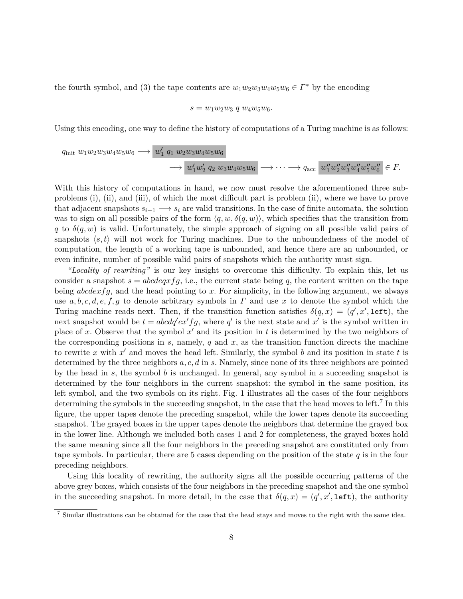the fourth symbol, and (3) the tape contents are  $w_1w_2w_3w_4w_5w_6 \in \Gamma^*$  by the encoding

$$
s = w_1 w_2 w_3 q w_4 w_5 w_6.
$$

Using this encoding, one way to define the history of computations of a Turing machine is as follows:

$$
q_{\text{init}} w_1 w_2 w_3 w_4 w_5 w_6 \longrightarrow w'_1 q_1 w_2 w_3 w_4 w_5 w_6
$$
\n
$$
\longrightarrow w'_1 w'_2 q_2 w_3 w_4 w_5 w_6 \longrightarrow \cdots \longrightarrow q_{\text{acc}} w''_1 w''_2 w''_3 w''_4 w''_5 w''_6 \in F.
$$

With this history of computations in hand, we now must resolve the aforementioned three subproblems (i), (ii), and (iii), of which the most difficult part is problem (ii), where we have to prove that adjacent snapshots  $s_{i-1} \longrightarrow s_i$  are valid transitions. In the case of finite automata, the solution was to sign on all possible pairs of the form  $\langle q, w, \delta(q, w) \rangle$ , which specifies that the transition from *q* to  $\delta(q, w)$  is valid. Unfortunately, the simple approach of signing on all possible valid pairs of snapshots  $\langle s, t \rangle$  will not work for Turing machines. Due to the unboundedness of the model of computation, the length of a working tape is unbounded, and hence there are an unbounded, or even infinite, number of possible valid pairs of snapshots which the authority must sign.

*"Locality of rewriting"* is our key insight to overcome this difficulty. To explain this, let us consider a snapshot  $s = abcdeqxfg$ , i.e., the current state being q, the content written on the tape being *abcdexfg*, and the head pointing to *x*. For simplicity, in the following argument, we always use *a, b, c, d, e, f, g* to denote arbitrary symbols in *Γ* and use *x* to denote the symbol which the Turing machine reads next. Then, if the transition function satisfies  $\delta(q, x) = (q', x', \text{left})$ , the next snapshot would be  $t = abcdq'ex'fg$ , where  $q'$  is the next state and  $x'$  is the symbol written in place of x. Observe that the symbol  $x'$  and its position in  $t$  is determined by the two neighbors of the corresponding positions in  $s$ , namely,  $q$  and  $x$ , as the transition function directs the machine to rewrite x with  $x'$  and moves the head left. Similarly, the symbol  $b$  and its position in state  $t$  is determined by the three neighbors *a, c, d* in *s*. Namely, since none of its three neighbors are pointed by the head in *s*, the symbol *b* is unchanged. In general, any symbol in a succeeding snapshot is determined by the four neighbors in the current snapshot: the symbol in the same position, its left symbol, and the two symbols on its right. Fig. 1 illustrates all the cases of the four neighbors determining the symbols in the succeeding snapshot, in the case that the head moves to left.<sup>7</sup> In this figure, the upper tapes denote the preceding snapshot, while the lower tapes denote its succeeding snapshot. The grayed boxes in the upper tapes denote the neighbors that determine the grayed box in the lower line. Although we included both cases 1 and 2 for completeness, the grayed boxes hold the same meaning since all the four neighbors in the preceding snapshot are constituted only from tape symbols. In particular, there are 5 cases depending on the position of the state *q* is in the four preceding neighbors.

Using this locality of rewriting, the authority signs all the possible occurring patterns of the above grey boxes, which consists of the four neighbors in the preceding snapshot and the one symbol in the succeeding snapshot. In more detail, in the case that  $\delta(q, x) = (q', x', \text{left})$ , the authority

<sup>7</sup> Similar illustrations can be obtained for the case that the head stays and moves to the right with the same idea.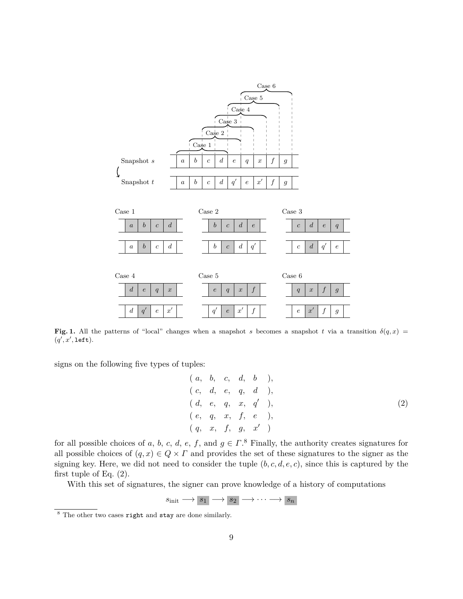

**Fig. 1.** All the patterns of "local" changes when a snapshot *s* becomes a snapshot *t* via a transition  $\delta(q, x)$  =  $(q', x', \text{left}).$ 

signs on the following five types of tuples:

$$
\begin{array}{cccccc}\n(a, & b, & c, & d, & b), & \\
(c, & d, & e, & q, & d), & \\
(d, & e, & q, & x, & q'), & \\
(e, & q, & x, & f, & e), & \\
(q, & x, & f, & g, & x')\n\end{array}
$$
\n(2)

for all possible choices of *a*, *b*, *c*, *d*, *e*, *f*, and  $g \in \Gamma$ <sup>8</sup>. Finally, the authority creates signatures for all possible choices of  $(q, x) \in Q \times \Gamma$  and provides the set of these signatures to the signer as the signing key. Here, we did not need to consider the tuple  $(b, c, d, e, c)$ , since this is captured by the first tuple of Eq. (2).

With this set of signatures, the signer can prove knowledge of a history of computations

 $s_{\text{init}} \longrightarrow s_1 \longrightarrow s_2 \longrightarrow \cdots \longrightarrow s_n$ 

<sup>&</sup>lt;sup>8</sup> The other two cases right and stay are done similarly.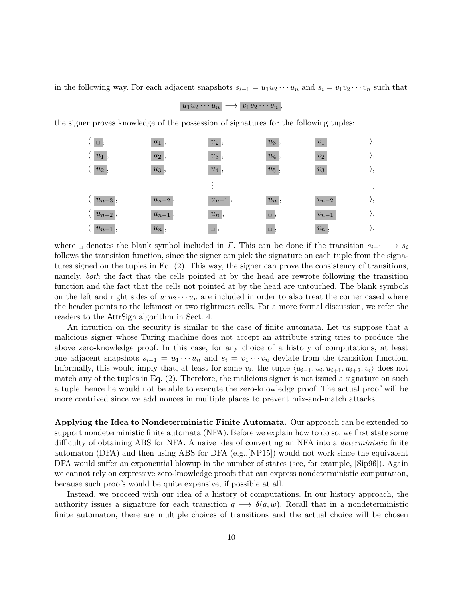in the following way. For each adjacent snapshots  $s_{i-1} = u_1 u_2 \cdots u_n$  and  $s_i = v_1 v_2 \cdots v_n$  such that

| $\langle \;  _{\sqcup} \; ,$                    | $u_1$ ,     | $u_2$ ,                | $u_3$ ,    | $v_1$              | ( /        |
|-------------------------------------------------|-------------|------------------------|------------|--------------------|------------|
| $\langle u_1,$                                  | $u_2$ ,     | $u_3$ ,                | $u_4$ ,    | $\boldsymbol{v}_2$ | ( /        |
| $\langle u_2,$                                  | $u_3$ ,     | $u_4$ ,                | $u_5$ ,    | $\boldsymbol{v}_3$ | 7,         |
|                                                 |             | $\bullet$<br>$\bullet$ |            |                    | ,          |
| $\langle u_{n-3},$                              | $u_{n-2}$ , | $u_{n-1}$ ,            | $u_n$ ,    | $v_{n-2}$          | ( /        |
| $\langle \begin{array}{c} u_{n-2} \end{array},$ | $u_{n-1}$ , | $u_n$ ,                | $\sqcup$ , | $v_{n-1}$          | $\prime$ , |
| $\langle u_{n-1},$                              | $u_n$ ,     | $\sqcup$ ,             | $\sqcup$ , | $v_n$ ,            | ، /        |

# $u_1u_2\cdots u_n \longrightarrow v_1v_2\cdots v_n,$

the signer proves knowledge of the possession of signatures for the following tuples:

where  $\Box$  denotes the blank symbol included in *Γ*. This can be done if the transition  $s_{i-1} \longrightarrow s_i$ follows the transition function, since the signer can pick the signature on each tuple from the signatures signed on the tuples in Eq. (2). This way, the signer can prove the consistency of transitions, namely, *both* the fact that the cells pointed at by the head are rewrote following the transition function and the fact that the cells not pointed at by the head are untouched. The blank symbols on the left and right sides of  $u_1u_2\cdots u_n$  are included in order to also treat the corner cased where the header points to the leftmost or two rightmost cells. For a more formal discussion, we refer the readers to the AttrSign algorithm in Sect. 4.

An intuition on the security is similar to the case of finite automata. Let us suppose that a malicious signer whose Turing machine does not accept an attribute string tries to produce the above zero-knowledge proof. In this case, for any choice of a history of computations, at least one adjacent snapshots  $s_{i-1} = u_1 \cdots u_n$  and  $s_i = v_1 \cdots v_n$  deviate from the transition function. Informally, this would imply that, at least for some  $v_i$ , the tuple  $\langle u_{i-1}, u_i, u_{i+1}, u_{i+2}, v_i \rangle$  does not match any of the tuples in Eq. (2). Therefore, the malicious signer is not issued a signature on such a tuple, hence he would not be able to execute the zero-knowledge proof. The actual proof will be more contrived since we add nonces in multiple places to prevent mix-and-match attacks.

**Applying the Idea to Nondeterministic Finite Automata.** Our approach can be extended to support nondeterministic finite automata (NFA). Before we explain how to do so, we first state some difficulty of obtaining ABS for NFA. A naive idea of converting an NFA into a *deterministic* finite automaton (DFA) and then using ABS for DFA (e.g.,[NP15]) would not work since the equivalent DFA would suffer an exponential blowup in the number of states (see, for example,  $\text{[Sip96]}$ ). Again we cannot rely on expressive zero-knowledge proofs that can express nondeterministic computation, because such proofs would be quite expensive, if possible at all.

Instead, we proceed with our idea of a history of computations. In our history approach, the authority issues a signature for each transition  $q \rightarrow \delta(q, w)$ . Recall that in a nondeterministic finite automaton, there are multiple choices of transitions and the actual choice will be chosen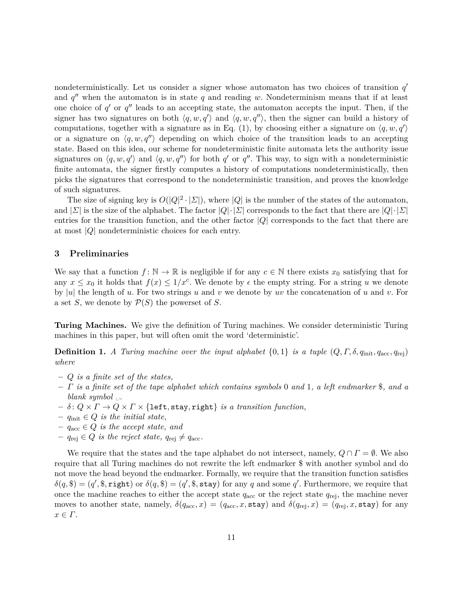nondeterministically. Let us consider a signer whose automaton has two choices of transition  $q'$ and  $q''$  when the automaton is in state  $q$  and reading  $w$ . Nondeterminism means that if at least one choice of  $q'$  or  $q''$  leads to an accepting state, the automaton accepts the input. Then, if the signer has two signatures on both  $\langle q, w, q' \rangle$  and  $\langle q, w, q'' \rangle$ , then the signer can build a history of computations, together with a signature as in Eq. (1), by choosing either a signature on  $\langle q, w, q' \rangle$ or a signature on  $\langle q, w, q'' \rangle$  depending on which choice of the transition leads to an accepting state. Based on this idea, our scheme for nondeterministic finite automata lets the authority issue signatures on  $\langle q, w, q' \rangle$  and  $\langle q, w, q'' \rangle$  for both *q'* or *q''*. This way, to sign with a nondeterministic finite automata, the signer firstly computes a history of computations nondeterministically, then picks the signatures that correspond to the nondeterministic transition, and proves the knowledge of such signatures.

The size of signing key is  $O(|Q|^2 \cdot |\Sigma|)$ , where  $|Q|$  is the number of the states of the automaton, and  $|\Sigma|$  is the size of the alphabet. The factor  $|Q|\cdot|\Sigma|$  corresponds to the fact that there are  $|Q|\cdot|\Sigma|$ entries for the transition function, and the other factor |*Q*| corresponds to the fact that there are at most |*Q*| nondeterministic choices for each entry.

# **3 Preliminaries**

We say that a function  $f: \mathbb{N} \to \mathbb{R}$  is negligible if for any  $c \in \mathbb{N}$  there exists  $x_0$  satisfying that for any  $x \leq x_0$  it holds that  $f(x) \leq 1/x^c$ . We denote by  $\epsilon$  the empty string. For a string *u* we denote by |*u*| the length of *u*. For two strings *u* and *v* we denote by *uv* the concatenation of *u* and *v*. For a set *S*, we denote by  $\mathcal{P}(S)$  the powerset of *S*.

**Turing Machines.** We give the definition of Turing machines. We consider deterministic Turing machines in this paper, but will often omit the word 'deterministic'.

**Definition 1.** *A Turing machine over the input alphabet*  $\{0, 1\}$  *is a tuple*  $(Q, \Gamma, \delta, q_{\text{init}}, q_{\text{acc}}, q_{\text{rel}})$ *where*

- **–** *Q is a finite set of the states,*
- **–** *Γ is a finite set of the tape alphabet which contains symbols* 0 *and* 1*, a left endmarker* \$*, and a blank symbol ␣.*
- **–** *δ* : *Q* × *Γ* → *Q* × *Γ* × {left*,* stay*,* right} *is a transition function,*
- $−$   $q_{\text{init}} \in Q$  *is the initial state,*
- $−$   $q_{\text{acc}} \in Q$  *is the accept state, and*
- $− q_{\text{rej}} \in Q$  *is the reject state,*  $q_{\text{rej}} \neq q_{\text{acc}}$ *.*

We require that the states and the tape alphabet do not intersect, namely,  $Q \cap \Gamma = \emptyset$ . We also require that all Turing machines do not rewrite the left endmarker \$ with another symbol and do not move the head beyond the endmarker. Formally, we require that the transition function satisfies  $\delta(q, \$) = (q', \$, \text{right})$  or  $\delta(q, \$) = (q', \$, \text{stay})$  for any *q* and some *q*'. Furthermore, we require that once the machine reaches to either the accept state  $q_{\text{acc}}$  or the reject state  $q_{\text{rej}}$ , the machine never moves to another state, namely,  $\delta(q_{\rm acc}, x) = (q_{\rm acc}, x, \text{stay})$  and  $\delta(q_{\rm rei}, x) = (q_{\rm rei}, x, \text{stay})$  for any *x* ∈ *Γ*.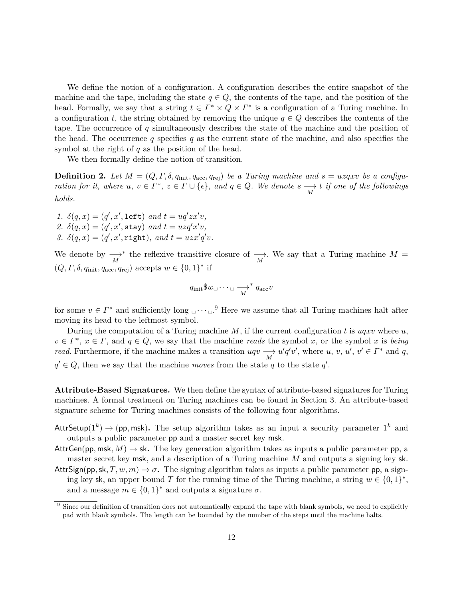We define the notion of a configuration. A configuration describes the entire snapshot of the machine and the tape, including the state  $q \in Q$ , the contents of the tape, and the position of the head. Formally, we say that a string  $t \in \Gamma^* \times Q \times \Gamma^*$  is a configuration of a Turing machine. In a configuration *t*, the string obtained by removing the unique  $q \in Q$  describes the contents of the tape. The occurrence of *q* simultaneously describes the state of the machine and the position of the head. The occurrence *q* specifies *q* as the current state of the machine, and also specifies the symbol at the right of *q* as the position of the head.

We then formally define the notion of transition.

**Definition 2.** Let  $M = (Q, \Gamma, \delta, q_{\text{init}}, q_{\text{acc}}, q_{\text{rej}})$  be a Turing machine and  $s = uzqxv$  be a configu*ration for it, where*  $u, v \in \Gamma^*$ ,  $z \in \Gamma \cup \{\epsilon\}$ , and  $q \in Q$ . We denote  $s \xrightarrow[M]{} t$  if one of the followings *holds.*

*1.*  $\delta(q, x) = (q', x', \text{left})$  and  $t = uq'zx'v$ , 2.  $\delta(q, x) = (q', x', \text{stay}) \text{ and } t = uzq'x'v,$ 3.  $\delta(q, x) = (q', x', \text{right})$ *, and*  $t = uzx'q'v$ *.* 

We denote by  $\frac{ }{M}$ <sup>\*</sup> the reflexive transitive closure of  $\rightarrow \rightarrow$ . We say that a Turing machine  $M =$  $(Q, \Gamma, \delta, q_{\text{init}}, q_{\text{acc}}, q_{\text{rej}})$  accepts  $w \in \{0, 1\}^*$  if

$$
q_\text{init}\$w_\sqcup\cdots\sqcup\textstyle\frac{}{M}\raisebox{0.2mm}{\text{--}}\raisebox{0.2mm}{\text{--}} q_\text{acc}v
$$

for some  $v \in \Gamma^*$  and sufficiently long  $\cdots \sqcup^9$  Here we assume that all Turing machines halt after moving its head to the leftmost symbol.

During the computation of a Turing machine *M*, if the current configuration *t* is *uqxv* where *u*,  $v \in \Gamma^*$ ,  $x \in \Gamma$ , and  $q \in Q$ , we say that the machine *reads* the symbol *x*, or the symbol *x* is *being read*. Furthermore, if the machine makes a transition  $uqv \rightarrow u'q'v'$ , where *u*, *v*, *u'*, *v'*  $\in \Gamma^*$  and *q*,  $q' \in Q$ , then we say that the machine *moves* from the state q to the state q'.

**Attribute-Based Signatures.** We then define the syntax of attribute-based signatures for Turing machines. A formal treatment on Turing machines can be found in Section 3. An attribute-based signature scheme for Turing machines consists of the following four algorithms.

AttrSetup( $1^k$ )  $\rightarrow$  (pp, msk). The setup algorithm takes as an input a security parameter  $1^k$  and outputs a public parameter pp and a master secret key msk.

AttrGen(pp, msk,  $M$ )  $\rightarrow$  sk. The key generation algorithm takes as inputs a public parameter pp, a master secret key msk, and a description of a Turing machine *M* and outputs a signing key sk.

AttrSign(pp, sk, T, w, m)  $\rightarrow \sigma$ . The signing algorithm takes as inputs a public parameter pp, a signing key sk, an upper bound *T* for the running time of the Turing machine, a string  $w \in \{0,1\}^*$ , and a message  $m \in \{0,1\}^*$  and outputs a signature  $\sigma$ .

 $9$  Since our definition of transition does not automatically expand the tape with blank symbols, we need to explicitly pad with blank symbols. The length can be bounded by the number of the steps until the machine halts.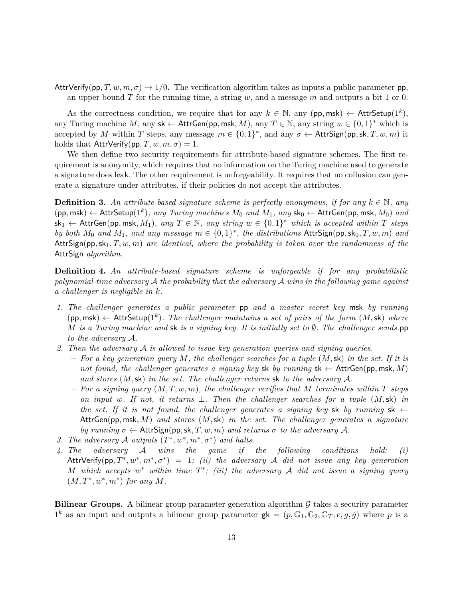AttrVerify(pp, T,  $w, m, \sigma$ )  $\rightarrow$  1/0. The verification algorithm takes as inputs a public parameter pp, an upper bound *T* for the running time, a string *w*, and a message *m* and outputs a bit 1 or 0.

As the correctness condition, we require that for any  $k \in \mathbb{N}$ , any (pp, msk)  $\leftarrow$  AttrSetup(1<sup>k</sup>), any Turing machine *M*, any  $sk \leftarrow$  AttrGen(pp, msk, *M*), any  $T \in \mathbb{N}$ , any string  $w \in \{0,1\}^*$  which is accepted by *M* within *T* steps, any message  $m \in \{0,1\}^*$ , and any  $\sigma \leftarrow$  AttrSign(pp, sk, *T*, *w*, *m*) it holds that AttrVerify( $pp, T, w, m, \sigma$ ) = 1.

We then define two security requirements for attribute-based signature schemes. The first requirement is anonymity, which requires that no information on the Turing machine used to generate a signature does leak. The other requirement is unforgeability. It requires that no collusion can generate a signature under attributes, if their policies do not accept the attributes.

**Definition 3.** An attribute-based signature scheme is perfectly anonymous, if for any  $k \in \mathbb{N}$ , any  $(p, msk) \leftarrow$  Attr $Setup(1^k)$ *, any Turing machines*  $M_0$  *and*  $M_1$ *, any*  $sk_0 \leftarrow$  Attr $Gen(p, msk, M_0)$  *and*  $\mathsf{sk}_1 \leftarrow \mathsf{AttrGen}(\mathsf{pp},\mathsf{msk},M_1), \ any \ T \in \mathbb{N}, \ any \ string \ w \in \{0,1\}^* \ which \ is \ accepted \ within \ T \ steps$ *by both*  $M_0$  *and*  $M_1$ *, and any message*  $m \in \{0,1\}^*$ *, the distributions* AttrSign(pp, sk<sub>0</sub>,  $T, w, m$ ) *and* AttrSign(pp*,*sk1*, T, w, m*) *are identical, where the probability is taken over the randomness of the* AttrSign *algorithm.*

**Definition 4.** *An attribute-based signature scheme is unforgeable if for any probabilistic polynomial-time adversary* A *the probability that the adversary* A *wins in the following game against a challenger is negligible in k.*

- *1. The challenger generates a public parameter* pp *and a master secret key* msk *by running*  $(p, msk) \leftarrow$  AttrSetup(1<sup>k</sup>). The challenger maintains a set of pairs of the form  $(M, sk)$  where *M is a Turing machine and* sk *is a signing key. It is initially set to* ∅*. The challenger sends* pp *to the adversary* A*.*
- *2. Then the adversary* A *is allowed to issue key generation queries and signing queries.*
	- **–** *For a key generation query M, the challenger searches for a tuple* (*M,*sk) *in the set. If it is not found, the challenger generates a signing key* sk *by running* sk  $\leftarrow$  AttrGen(pp, msk, M) *and stores* (*M,*sk) *in the set. The challenger returns* sk *to the adversary* A*.*
	- **–** *For a signing query* (*M, T, w, m*)*, the challenger verifies that M terminates within T steps on input w. If not, it returns*  $\perp$ *. Then the challenger searches for a tuple*  $(M, sk)$  *in the set. If it is not found, the challenger generates a signing key* sk *by running* sk  $\leftarrow$ AttrGen(pp*,* msk*, M*) *and stores* (*M,*sk) *in the set. The challenger generates a signature by running*  $\sigma \leftarrow$  AttrSign(pp, sk, T, w, m) and returns  $\sigma$  to the adversary A.
- 3. The adversary A outputs  $(T^*, w^*, m^*, \sigma^*)$  and halts.
- *4. The adversary* A *wins the game if the following conditions hold: (i)* AttrVerify(pp,  $T^*$ ,  $w^*$ ,  $m^*$ ,  $\sigma^*$ ) = 1*;* (ii) the adversary A did not issue any key generation *M which accepts w* <sup>∗</sup> *within time T* ∗ *; (iii) the adversary* A *did not issue a signing query*  $(M, T^*, w^*, m^*)$  *for any M.*

**Bilinear Groups.** A bilinear group parameter generation algorithm  $\mathcal{G}$  takes a security parameter  $1^k$  as an input and outputs a bilinear group parameter  $g\mathbf{k} = (p, \mathbb{G}_1, \mathbb{G}_2, \mathbb{G}_T, e, g, \tilde{g})$  where p is a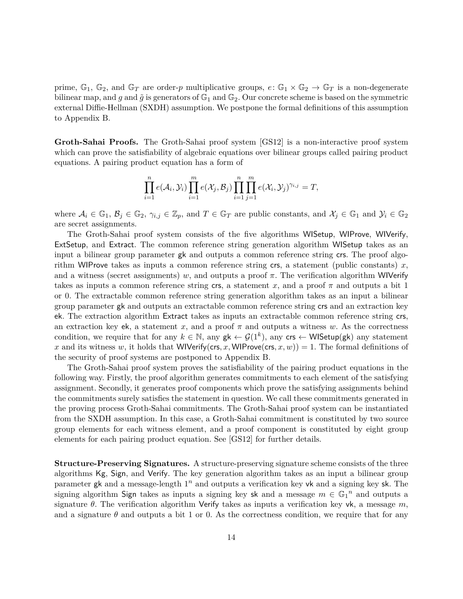prime,  $\mathbb{G}_1$ ,  $\mathbb{G}_2$ , and  $\mathbb{G}_T$  are order-*p* multiplicative groups,  $e: \mathbb{G}_1 \times \mathbb{G}_2 \to \mathbb{G}_T$  is a non-degenerate bilinear map, and g and  $\tilde{g}$  is generators of  $\mathbb{G}_1$  and  $\mathbb{G}_2$ . Our concrete scheme is based on the symmetric external Diffie-Hellman (SXDH) assumption. We postpone the formal definitions of this assumption to Appendix B.

**Groth-Sahai Proofs.** The Groth-Sahai proof system [GS12] is a non-interactive proof system which can prove the satisfiability of algebraic equations over bilinear groups called pairing product equations. A pairing product equation has a form of

$$
\prod_{i=1}^n e(\mathcal{A}_i, \mathcal{Y}_i) \prod_{i=1}^m e(\mathcal{X}_j, \mathcal{B}_j) \prod_{i=1}^n \prod_{j=1}^m e(\mathcal{X}_i, \mathcal{Y}_j)^{\gamma_{i,j}} = T,
$$

where  $A_i \in \mathbb{G}_1$ ,  $B_j \in \mathbb{G}_2$ ,  $\gamma_{i,j} \in \mathbb{Z}_p$ , and  $T \in \mathbb{G}_T$  are public constants, and  $\mathcal{X}_j \in \mathbb{G}_1$  and  $\mathcal{Y}_i \in \mathbb{G}_2$ are secret assignments.

The Groth-Sahai proof system consists of the five algorithms WISetup, WIProve, WIVerify, ExtSetup, and Extract. The common reference string generation algorithm WISetup takes as an input a bilinear group parameter gk and outputs a common reference string crs. The proof algorithm WIProve takes as inputs a common reference string  $\text{crs}$ , a statement (public constants) *x*, and a witness (secret assignments) *w*, and outputs a proof  $\pi$ . The verification algorithm WIVerify takes as inputs a common reference string crs, a statement x, and a proof  $\pi$  and outputs a bit 1 or 0. The extractable common reference string generation algorithm takes as an input a bilinear group parameter gk and outputs an extractable common reference string crs and an extraction key ek. The extraction algorithm Extract takes as inputs an extractable common reference string crs, an extraction key ek, a statement x, and a proof  $\pi$  and outputs a witness w. As the correctness condition, we require that for any  $k \in \mathbb{N}$ , any  $g k \leftarrow \mathcal{G}(1^k)$ , any  $\mathsf{crs} \leftarrow \mathsf{WISetup}(g k)$  any statement x and its witness w, it holds that WIVerify(crs, x, WIProve(crs, x, w)) = 1. The formal definitions of the security of proof systems are postponed to Appendix B.

The Groth-Sahai proof system proves the satisfiability of the pairing product equations in the following way. Firstly, the proof algorithm generates commitments to each element of the satisfying assignment. Secondly, it generates proof components which prove the satisfying assignments behind the commitments surely satisfies the statement in question. We call these commitments generated in the proving process Groth-Sahai commitments. The Groth-Sahai proof system can be instantiated from the SXDH assumption. In this case, a Groth-Sahai commitment is constituted by two source group elements for each witness element, and a proof component is constituted by eight group elements for each pairing product equation. See [GS12] for further details.

**Structure-Preserving Signatures.** A structure-preserving signature scheme consists of the three algorithms Kg, Sign, and Verify. The key generation algorithm takes as an input a bilinear group parameter gk and a message-length 1<sup>n</sup> and outputs a verification key vk and a signing key sk. The signing algorithm Sign takes as inputs a signing key sk and a message  $m \in \mathbb{G}_1^n$  and outputs a signature *θ*. The verification algorithm Verify takes as inputs a verification key vk, a message *m*, and a signature  $\theta$  and outputs a bit 1 or 0. As the correctness condition, we require that for any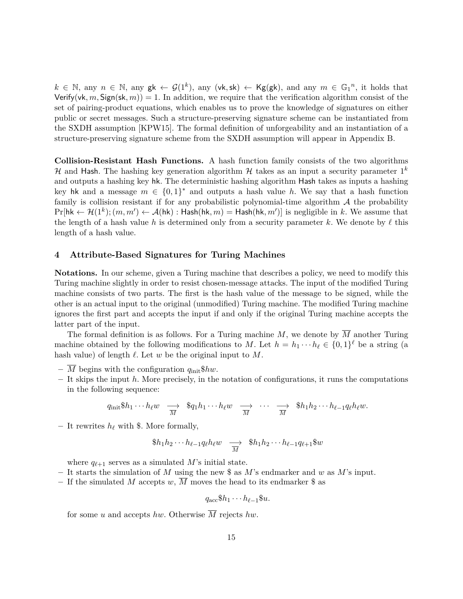$k \in \mathbb{N}$ , any  $n \in \mathbb{N}$ , any  $g\mathsf{k} \leftarrow \mathcal{G}(1^k)$ , any  $(\mathsf{vk}, \mathsf{sk}) \leftarrow \mathsf{Kg}(g\mathsf{k})$ , and any  $m \in \mathbb{G}_1^n$ , it holds that Verify(vk, m,  $Sign(\mathsf{sk}, m)$ ) = 1. In addition, we require that the verification algorithm consist of the set of pairing-product equations, which enables us to prove the knowledge of signatures on either public or secret messages. Such a structure-preserving signature scheme can be instantiated from the SXDH assumption [KPW15]. The formal definition of unforgeability and an instantiation of a structure-preserving signature scheme from the SXDH assumption will appear in Appendix B.

**Collision-Resistant Hash Functions.** A hash function family consists of the two algorithms H and Hash. The hashing key generation algorithm H takes as an input a security parameter  $1^k$ and outputs a hashing key hk. The deterministic hashing algorithm Hash takes as inputs a hashing key hk and a message  $m \in \{0,1\}^*$  and outputs a hash value *h*. We say that a hash function family is collision resistant if for any probabilistic polynomial-time algorithm  $A$  the probability  $Pr[\mathsf{hk} \leftarrow \mathcal{H}(1^k); (m, m') \leftarrow \mathcal{A}(\mathsf{hk}) : \mathsf{Hash}(\mathsf{hk}, m) = \mathsf{Hash}(\mathsf{hk}, m')]$  is negligible in  $k$ . We assume that the length of a hash value h is determined only from a security parameter k. We denote by  $\ell$  this length of a hash value.

#### **4 Attribute-Based Signatures for Turing Machines**

**Notations.** In our scheme, given a Turing machine that describes a policy, we need to modify this Turing machine slightly in order to resist chosen-message attacks. The input of the modified Turing machine consists of two parts. The first is the hash value of the message to be signed, while the other is an actual input to the original (unmodified) Turing machine. The modified Turing machine ignores the first part and accepts the input if and only if the original Turing machine accepts the latter part of the input.

The formal definition is as follows. For a Turing machine *M*, we denote by  $\overline{M}$  another Turing machine obtained by the following modifications to *M*. Let  $h = h_1 \cdots h_\ell \in \{0,1\}^\ell$  be a string (a hash value) of length  $\ell$ . Let  $w$  be the original input to  $M$ .

- $-\overline{M}$  begins with the configuration  $q_{\text{init}}$ \$hw.
- **–** It skips the input *h*. More precisely, in the notation of configurations, it runs the computations in the following sequence:

$$
q_{\text{init}} \$ h_1 \cdots h_\ell w \longrightarrow \frac{\$q_1 h_1 \cdots h_\ell w}{\overline{M}} \longrightarrow \cdots \longrightarrow \frac{\$h_1 h_2 \cdots h_{\ell-1} q_\ell h_\ell w}.
$$

– It rewrites  $h_{\ell}$  with \$. More formally,

$$
\$h_1h_2\cdots h_{\ell-1}q_{\ell}h_{\ell}w \longrightarrow \underset{\overline{M}}{\longrightarrow} \$h_1h_2\cdots h_{\ell-1}q_{\ell+1}\$w
$$

where  $q_{\ell+1}$  serves as a simulated *M*'s initial state.

- **–** It starts the simulation of *M* using the new \$ as *M*'s endmarker and *w* as *M*'s input.
- If the simulated *M* accepts  $w$ ,  $\overline{M}$  moves the head to its endmarker \$ as

$$
q_{\rm acc}\$\mathit{h}_1\cdots\mathit{h}_{\ell-1}\$\mathit{u}.
$$

for some *u* and accepts *hw*. Otherwise  $\overline{M}$  rejects *hw*.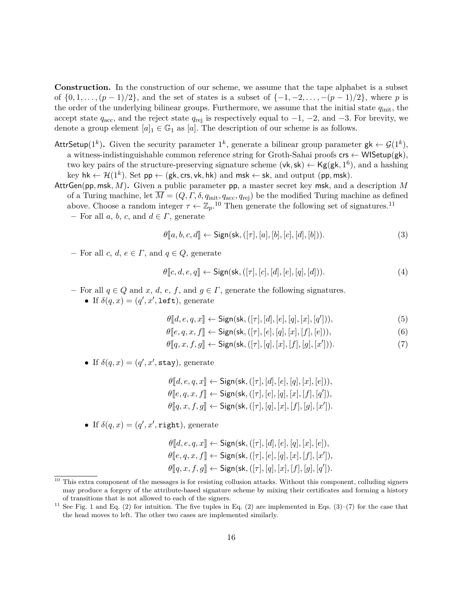**Construction.** In the construction of our scheme, we assume that the tape alphabet is a subset of  $\{0, 1, \ldots, (p-1)/2\}$ , and the set of states is a subset of  $\{-1, -2, \ldots, -(p-1)/2\}$ , where p is the order of the underlying bilinear groups. Furthermore, we assume that the initial state *q*init, the accept state  $q_{\text{acc}}$ , and the reject state  $q_{\text{rej}}$  is respectively equal to  $-1$ ,  $-2$ , and  $-3$ . For brevity, we denote a group element  $[a]_1 \in \mathbb{G}_1$  as  $[a]$ . The description of our scheme is as follows.

- AttrSetup(1<sup>k</sup>). Given the security parameter 1<sup>k</sup>, generate a bilinear group parameter  $g\mathsf{k} \leftarrow \mathcal{G}(1^k)$ , a witness-indistinguishable common reference string for Groth-Sahai proofs  $\mathsf{crs} \leftarrow \mathsf{WISetup}(\mathsf{g}\mathsf{k})$ , two key pairs of the structure-preserving signature scheme  $(vk, sk) \leftarrow Kg(gk, 1^6)$ , and a hashing  $\text{key } \textsf{hk} \leftarrow \mathcal{H}(1^k)$ . Set  $\textsf{pp} \leftarrow (\textsf{gk}, \textsf{crs}, \textsf{vk}, \textsf{hk})$  and  $\textsf{msk} \leftarrow \textsf{sk}, \textsf{and output } (\textsf{pp}, \textsf{msk}).$
- AttrGen(pp*,* msk*, M*)**.** Given a public parameter pp, a master secret key msk, and a description *M* of a Turing machine, let  $\overline{M} = (Q, \Gamma, \delta, q_{\text{init}}, q_{\text{acc}}, q_{\text{rej}})$  be the modified Turing machine as defined above. Choose a random integer  $\tau \leftarrow \mathbb{Z}_p$ .<sup>10</sup> Then generate the following set of signatures.<sup>11</sup> **–** For all *a*, *b*, *c*, and *d* ∈ *Γ*, generate

$$
\theta[\![a, b, c, d]\!] \leftarrow \text{Sign}(\text{sk}, ([\tau], [a], [b], [c], [d], [b])) \tag{3}
$$

 $-$  For all *c*, *d*,  $e \in \Gamma$ , and  $q \in Q$ , generate

$$
\theta[\![c, d, e, q]\!] \leftarrow \text{Sign}(\text{sk}, ([\tau], [c], [d], [e], [q], [d]))\tag{4}
$$

- **–** For all *q* ∈ *Q* and *x*, *d*, *e*, *f*, and *g* ∈ *Γ*, generate the following signatures.
	- If  $\delta(q, x) = (q', x', \text{left}),$  generate

$$
\theta[[d, e, q, x]] \leftarrow \text{Sign}(\text{sk}, ([\tau], [d], [e], [q], [x], [q']))),
$$
\n(5)

$$
\theta [e, q, x, f] \leftarrow \text{Sign}(\text{sk}, ([\tau], [e], [q], [x], [f], [e]))
$$
\n(6)

$$
\theta[\![q, x, f, g]\!] \leftarrow \text{Sign}(\text{sk}, ([\tau], [q], [x], [f], [g], [x'])). \tag{7}
$$

• If  $\delta(q, x) = (q', x', \text{stay})$ , generate

 $\theta[[d, e, q, x] \leftarrow$  Sign(sk,  $([\tau], [d], [e], [q], [x], [e]))$ ),  $\theta$ <sup> $[e, q, x, f]$ </sup> $\leftarrow$  Sign(sk, ([*τ*]*,* [*e*]*,* [*q*]*,* [*x*]*,* [*f*]*,* [*q*<sup>'</sup>]*),*  $\theta[\![q, x, f, g]\!] \leftarrow \mathsf{Sign}(\mathsf{sk},([\tau],[q],[x],[f],[g],[x'])\mathsf{.}$ 

• If  $\delta(q, x) = (q', x', \text{right})$ , generate

$$
\theta[[d, e, q, x]] \leftarrow \text{Sign}(\text{sk}, ([\tau], [d], [e], [q], [x], [e]),\n\theta[[e, q, x, f]] \leftarrow \text{Sign}(\text{sk}, ([\tau], [e], [q], [x], [f], [x')),\n\theta[[q, x, f, g]] \leftarrow \text{Sign}(\text{sk}, ([\tau], [q], [x], [f], [g], [q']).
$$

 $10$  This extra component of the messages is for resisting collusion attacks. Without this component, colluding signers may produce a forgery of the attribute-based signature scheme by mixing their certificates and forming a history of transitions that is not allowed to each of the signers.

<sup>&</sup>lt;sup>11</sup> See Fig. 1 and Eq. (2) for intuition. The five tuples in Eq. (2) are implemented in Eqs. (3)–(7) for the case that the head moves to left. The other two cases are implemented similarly.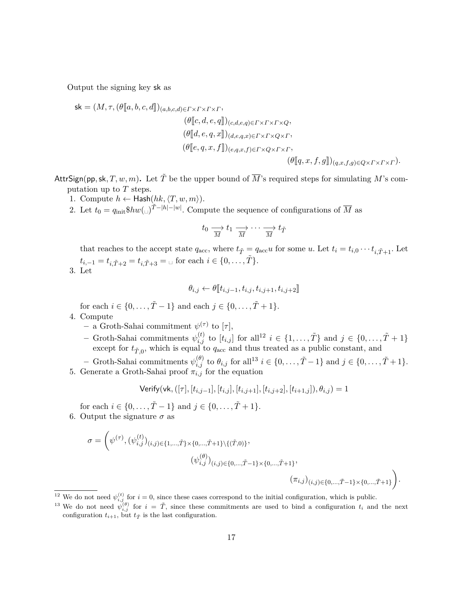Output the signing key sk as

$$
\mathsf{sk} = (M, \tau, (\theta [\![a, b, c, d]\!])_{(a, b, c, d) \in \Gamma \times \Gamma \times \Gamma \times \Gamma},
$$
  

$$
(\theta [\![c, d, e, q]\!])_{(c, d, e, q) \in \Gamma \times \Gamma \times \Gamma \times Q},
$$
  

$$
(\theta [\![d, e, q, x]\!])_{(d, e, q, x) \in \Gamma \times \Gamma \times \Gamma \times Q \times \Gamma},
$$
  

$$
(\theta [\![e, q, x, f]\!])_{(e, q, x, f) \in \Gamma \times Q \times \Gamma \times \Gamma},
$$
  

$$
(\theta [\![q, x, f, g]\!])_{(q, x, f, g) \in Q \times \Gamma \times \Gamma \times \Gamma}.
$$

AttrSign(pp, sk, T, w, m). Let  $\tilde{T}$  be the upper bound of  $\overline{M}$ 's required steps for simulating M's computation up to *T* steps.

- 1. Compute  $h \leftarrow \text{Hash}(hk, \langle T, w, m \rangle)$ .
- 2. Let  $t_0 = q_{\text{init}} \$hw(\Box)^{\widetilde{T}-|h|-|w|}$ . Compute the sequence of configurations of  $\overline{M}$  as

$$
t_0 \xrightarrow{\overline{M}} t_1 \xrightarrow{\overline{M}} \cdots \xrightarrow{\overline{M}} t_{\tilde{T}}
$$

that reaches to the accept state  $q_{\text{acc}}$ , where  $t_{\tilde{T}} = q_{\text{acc}}u$  for some *u*. Let  $t_i = t_{i,0} \cdots t_{i,\tilde{T}+1}$ . Let  $t_{i,-1} = t_{i,\tilde{T}+2} = t_{i,\tilde{T}+3} = \Box$  for each  $i \in \{0, \ldots, \tilde{T}\}.$ 3. Let

$$
\theta_{i,j} \leftarrow \theta [\![t_{i,j-1}, t_{i,j}, t_{i,j+1}, t_{i,j+2}]\!]
$$

for each  $i \in \{0, ..., \tilde{T} - 1\}$  and each  $j \in \{0, ..., \tilde{T} + 1\}$ .

- 4. Compute
	- $-$  a Groth-Sahai commitment  $\psi^{(\tau)}$  to  $[\tau]$ ,
	- $\mathcal{F} = \text{Groth-Sahai commitments } \psi_{i,j}^{(t)} \text{ to } [t_{i,j}] \text{ for all } 1^2 \in \{1, \ldots, \tilde{T}\} \text{ and } j \in \{0, \ldots, \tilde{T} + 1\}$ except for  $t_{\tilde{T},0}$ , which is equal to  $q_{\text{acc}}$  and thus treated as a public constant, and

 $\mathcal{F} = \text{Groth-Sahai commitments } \psi_{i,j}^{(\theta)} \text{ to } \theta_{i,j} \text{ for all } 1^3, i \in \{0, \ldots, \tilde{T} - 1\} \text{ and } j \in \{0, \ldots, \tilde{T} + 1\}.$ 5. Generate a Groth-Sahai proof *πi,j* for the equation

Verify(vk, 
$$
([\tau], [t_{i,j-1}], [t_{i,j}], [t_{i,j+1}], [t_{i,j+2}], [t_{i+1,j}]), \theta_{i,j}) = 1
$$

for each  $i \in \{0, ..., \tilde{T} - 1\}$  and  $j \in \{0, ..., \tilde{T} + 1\}$ .

6. Output the signature  $\sigma$  as

$$
\sigma = \left(\psi^{(\tau)}, (\psi_{i,j}^{(t)})_{(i,j) \in \{1,\dots,\tilde{T}\} \times \{0,\dots,\tilde{T}+1\} \setminus \{(\tilde{T},0)\}}, \left(\psi_{i,j}^{(\theta)}\right)_{(i,j) \in \{0,\dots,\tilde{T}-1\} \times \{0,\dots,\tilde{T}+1\}}, \left(\pi_{i,j}\right)_{(i,j) \in \{0,\dots,\tilde{T}-1\} \times \{0,\dots,\tilde{T}+1\}}\right).
$$

<sup>&</sup>lt;sup>12</sup> We do not need  $\psi_{i,j}^{(t)}$  for  $i=0$ , since these cases correspond to the initial configuration, which is public.

<sup>&</sup>lt;sup>13</sup> We do not need  $\psi_{i,j}^{(\theta)}$  for  $i = \tilde{T}$ , since these commitments are used to bind a configuration  $t_i$  and the next configuration  $t_{i+1}$ , but  $t_{\tilde{T}}$  is the last configuration.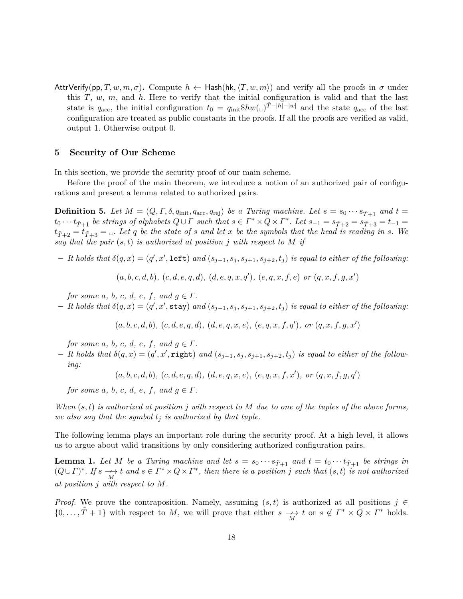AttrVerify(pp, T,  $w, m, \sigma$ ). Compute  $h \leftarrow$  Hash(hk,  $\langle T, w, m \rangle$ ) and verify all the proofs in  $\sigma$  under this *T*, *w*, *m*, and *h*. Here to verify that the initial configuration is valid and that the last state is  $q_{\text{acc}}$ , the initial configuration  $t_0 = q_{\text{init}} \$hw(\square)^{T-|h|-|w|}$  and the state  $q_{\text{acc}}$  of the last configuration are treated as public constants in the proofs. If all the proofs are verified as valid, output 1. Otherwise output 0.

#### **5 Security of Our Scheme**

In this section, we provide the security proof of our main scheme.

Before the proof of the main theorem, we introduce a notion of an authorized pair of configurations and present a lemma related to authorized pairs.

**Definition 5.** Let  $M = (Q, \Gamma, \delta, q_{\text{init}}, q_{\text{acc}}, q_{\text{rej}})$  be a Turing machine. Let  $s = s_0 \cdots s_{\tilde{T}+1}$  and  $t =$  $t_0 \cdots t_{\tilde{T}+1}$  be strings of alphabets  $Q \cup \Gamma$  such that  $s \in \Gamma^* \times Q \times \Gamma^*$ . Let  $s_{-1} = s_{\tilde{T}+2} = \tilde{s_{T+3}} = t_{-1} = t_{-1}$  $t_{\tilde{T}+2} = t_{\tilde{T}+3} = L$ . Let *q* be the state of *s* and let *x* be the symbols that the head is reading in *s*. We *say that the pair* (*s, t*) *is authorized at position j with respect to M if*

- It holds that  $\delta(q, x) = (q', x', \texttt{left})$  and  $(s_{j-1}, s_j, s_{j+1}, s_{j+2}, t_j)$  is equal to either of the following:

$$
(a, b, c, d, b), (c, d, e, q, d), (d, e, q, x, q'), (e, q, x, f, e) \text{ or } (q, x, f, g, x')
$$

*for some a*, *b*, *c*, *d*, *e*, *f*, *and*  $q \in \Gamma$ *.* 

- It holds that  $\delta(q, x) = (q', x', \texttt{stay})$  and  $(s_{j-1}, s_j, s_{j+1}, s_{j+2}, t_j)$  is equal to either of the following:

 $(a, b, c, d, b), (c, d, e, q, d), (d, e, q, x, e), (e, q, x, f, q'), or (q, x, f, g, x')$ 

*for some a*, *b*, *c*, *d*, *e*, *f*, *and*  $g \in \Gamma$ *.* 

- It holds that  $\delta(q, x) = (q', x', \text{right})$  and  $(s_{j-1}, s_j, s_{j+1}, s_{j+2}, t_j)$  is equal to either of the follow*ing:*

 $(a, b, c, d, b), (c, d, e, q, d), (d, e, q, x, e), (e, q, x, f, x'), or (q, x, f, g, q')$ 

*for some a*, *b*, *c*, *d*, *e*, *f*, and  $g \in \Gamma$ .

*When* (*s, t*) *is authorized at position j with respect to M due to one of the tuples of the above forms, we also say that the symbol t<sup>j</sup> is authorized by that tuple.*

The following lemma plays an important role during the security proof. At a high level, it allows us to argue about valid transitions by only considering authorized configuration pairs.

**Lemma 1.** Let M be a Turing machine and let  $s = s_0 \cdots s_{\tilde{T}+1}$  and  $t = t_0 \cdots t_{\tilde{T}+1}$  be strings in  $(Q \cup \Gamma)^*$ . If  $s \longrightarrow t$  and  $s \in \Gamma^* \times Q \times \Gamma^*$ , then there is a position *j* such that  $(s, t)$  is not authorized *at position j with respect to M.*

*Proof.* We prove the contraposition. Namely, assuming  $(s, t)$  is authorized at all positions  $j \in$  $\{0,\ldots,\tilde{T}+1\}$  with respect to *M*, we will prove that either  $s \to t$  or  $s \notin \Gamma^* \times Q \times \Gamma^*$  holds.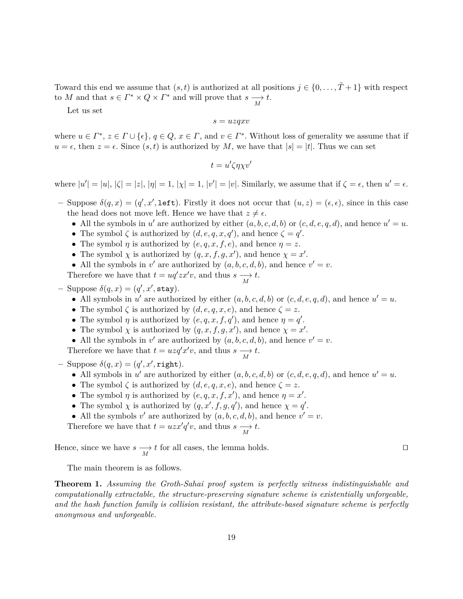Toward this end we assume that  $(s, t)$  is authorized at all positions  $j \in \{0, \ldots, \tilde{T} + 1\}$  with respect to *M* and that  $s \in \Gamma^* \times Q \times \Gamma^*$  and will prove that  $s \xrightarrow[M]{} t$ .

Let us set

*s* = *uzqxv*

where  $u \in \Gamma^*$ ,  $z \in \Gamma \cup \{\epsilon\}$ ,  $q \in Q$ ,  $x \in \Gamma$ , and  $v \in \Gamma^*$ . Without loss of generality we assume that if  $u = \epsilon$ , then  $z = \epsilon$ . Since  $(s, t)$  is authorized by *M*, we have that  $|s| = |t|$ . Thus we can set

$$
t = u' \zeta \eta \chi v'
$$

where  $|u'| = |u|, |\zeta| = |z|, |\eta| = 1, |\chi| = 1, |v'| = |v|$ . Similarly, we assume that if  $\zeta = \epsilon$ , then  $u' = \epsilon$ .

- $\delta(q, x) = (q', x', \text{left})$ . Firstly it does not occur that  $(u, z) = (\epsilon, \epsilon)$ , since in this case the head does not move left. Hence we have that  $z \neq \epsilon$ .
	- All the symbols in  $u'$  are authorized by either  $(a, b, c, d, b)$  or  $(c, d, e, q, d)$ , and hence  $u' = u$ .
	- The symbol  $\zeta$  is authorized by  $(d, e, q, x, q')$ , and hence  $\zeta = q'$ .
	- The symbol  $\eta$  is authorized by  $(e, q, x, f, e)$ , and hence  $\eta = z$ .
	- The symbol  $\chi$  is authorized by  $(q, x, f, g, x')$ , and hence  $\chi = x'$ .
	- All the symbols in  $v'$  are authorized by  $(a, b, c, d, b)$ , and hence  $v' = v$ .
	- Therefore we have that  $t = uq'zx'v$ , and thus  $s \longrightarrow t$ .
- $-$  Suppose  $\delta(q, x) = (q', x', \text{stay}).$ 
	- All symbols in *u'* are authorized by either  $(a, b, c, d, b)$  or  $(c, d, e, q, d)$ , and hence  $u' = u$ .
	- The symbol  $\zeta$  is authorized by  $(d, e, q, x, e)$ , and hence  $\zeta = z$ .
	- The symbol  $\eta$  is authorized by  $(e, q, x, f, q')$ , and hence  $\eta = q'$ .
	- The symbol  $\chi$  is authorized by  $(q, x, f, g, x')$ , and hence  $\chi = x'$ .
	- All the symbols in  $v'$  are authorized by  $(a, b, c, d, b)$ , and hence  $v' = v$ .

Therefore we have that  $t = u z q' x' v$ , and thus  $s \longrightarrow t$ .

- $-$  Suppose  $\delta(q, x) = (q', x', \text{right}).$ 
	- All symbols in *u'* are authorized by either  $(a, b, c, d, b)$  or  $(c, d, e, q, d)$ , and hence  $u' = u$ .
	- The symbol  $\zeta$  is authorized by  $(d, e, q, x, e)$ , and hence  $\zeta = z$ .
	- The symbol  $\eta$  is authorized by  $(e, q, x, f, x')$ , and hence  $\eta = x'$ .
	- The symbol  $\chi$  is authorized by  $(q, x', f, g, q')$ , and hence  $\chi = q'$ .
	- All the symbols  $v'$  are authorized by  $(a, b, c, d, b)$ , and hence  $v' = v$ .

Therefore we have that  $t = uzx'q'v$ , and thus  $s \longrightarrow t$ .

Hence, since we have  $s \xrightarrow[M]{} t$  for all cases, the lemma holds.

The main theorem is as follows.

**Theorem 1.** *Assuming the Groth-Sahai proof system is perfectly witness indistinguishable and computationally extractable, the structure-preserving signature scheme is existentially unforgeable, and the hash function family is collision resistant, the attribute-based signature scheme is perfectly anonymous and unforgeable.*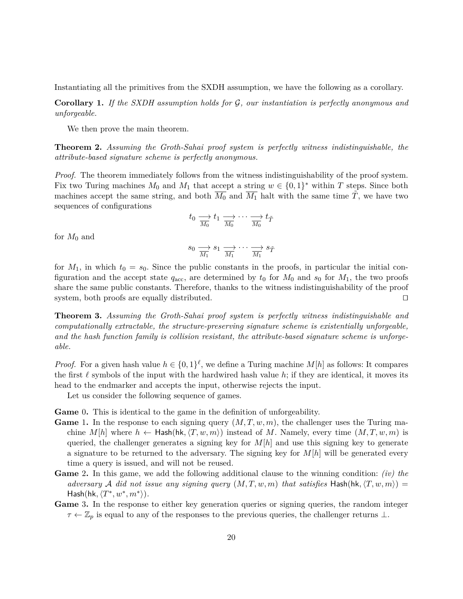Instantiating all the primitives from the SXDH assumption, we have the following as a corollary.

**Corollary 1.** *If the SXDH assumption holds for* G*, our instantiation is perfectly anonymous and unforgeable.*

We then prove the main theorem.

**Theorem 2.** *Assuming the Groth-Sahai proof system is perfectly witness indistinguishable, the attribute-based signature scheme is perfectly anonymous.*

*Proof.* The theorem immediately follows from the witness indistinguishability of the proof system. Fix two Turing machines  $M_0$  and  $M_1$  that accept a string  $w \in \{0,1\}^*$  within *T* steps. Since both machines accept the same string, and both  $\overline{M_0}$  and  $\overline{M_1}$  halt with the same time  $\overline{T}$ , we have two sequences of configurations

$$
t_0 \xrightarrow{\longrightarrow} t_1 \xrightarrow{\longrightarrow} \cdots \xrightarrow{\longrightarrow} t_{\tilde{T}}
$$

for *M*<sup>0</sup> and

$$
s_0 \xrightarrow{\longrightarrow}_{M_1} s_1 \xrightarrow{\longrightarrow}_{M_1} \cdots \xrightarrow{\longrightarrow}_{M_1} s_{\tilde{T}}
$$

for  $M_1$ , in which  $t_0 = s_0$ . Since the public constants in the proofs, in particular the initial configuration and the accept state  $q_{\text{acc}}$ , are determined by  $t_0$  for  $M_0$  and  $s_0$  for  $M_1$ , the two proofs share the same public constants. Therefore, thanks to the witness indistinguishability of the proof system, both proofs are equally distributed.  $\Box$ 

**Theorem 3.** *Assuming the Groth-Sahai proof system is perfectly witness indistinguishable and computationally extractable, the structure-preserving signature scheme is existentially unforgeable, and the hash function family is collision resistant, the attribute-based signature scheme is unforgeable.*

*Proof.* For a given hash value  $h \in \{0,1\}^{\ell}$ , we define a Turing machine  $M[h]$  as follows: It compares the first  $\ell$  symbols of the input with the hardwired hash value  $h$ ; if they are identical, it moves its head to the endmarker and accepts the input, otherwise rejects the input.

Let us consider the following sequence of games.

**Game** 0**.** This is identical to the game in the definition of unforgeability.

- **Game** 1**.** In the response to each signing query (*M, T, w, m*), the challenger uses the Turing machine  $M[h]$  where  $h \leftarrow$  Hash $(hk, \langle T, w, m \rangle)$  instead of M. Namely, every time  $(M, T, w, m)$  is queried, the challenger generates a signing key for *M*[*h*] and use this signing key to generate a signature to be returned to the adversary. The signing key for *M*[*h*] will be generated every time a query is issued, and will not be reused.
- **Game** 2**.** In this game, we add the following additional clause to the winning condition: *(iv) the adversary* A did not issue any signing query  $(M, T, w, m)$  that satisfies Hash(hk,  $\langle T, w, m \rangle$ ) =  $\mathsf{Hash}(\mathsf{hk}, \langle T^*, w^*, m^* \rangle).$
- **Game** 3**.** In the response to either key generation queries or signing queries, the random integer *τ* ← Z<sub>p</sub> is equal to any of the responses to the previous queries, the challenger returns ⊥.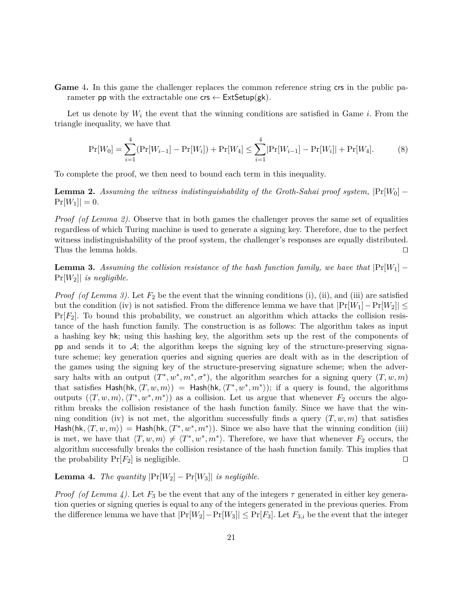**Game** 4**.** In this game the challenger replaces the common reference string crs in the public parameter pp with the extractable one  $\mathsf{crs} \leftarrow \mathsf{ExtSetup}(\mathsf{g}\mathsf{k}).$ 

Let us denote by *W<sup>i</sup>* the event that the winning conditions are satisfied in Game *i*. From the triangle inequality, we have that

$$
\Pr[W_0] = \sum_{i=1}^4 (\Pr[W_{i-1}] - \Pr[W_i]) + \Pr[W_4] \le \sum_{i=1}^4 |\Pr[W_{i-1}] - \Pr[W_i]| + \Pr[W_4].\tag{8}
$$

To complete the proof, we then need to bound each term in this inequality.

**Lemma 2.** *Assuming the witness indistinguishability of the Groth-Sahai proof system,* |Pr[*W*0] −  $Pr[W_1]| = 0.$ 

*Proof (of Lemma 2).* Observe that in both games the challenger proves the same set of equalities regardless of which Turing machine is used to generate a signing key. Therefore, due to the perfect witness indistinguishability of the proof system, the challenger's responses are equally distributed. Thus the lemma holds.  $\square$ 

**Lemma 3.** Assuming the collision resistance of the hash function family, we have that  $|Pr[W_1] -$ Pr[*W*2]| *is negligible.*

*Proof* (of Lemma 3). Let  $F_2$  be the event that the winning conditions (i), (ii), and (iii) are satisfied but the condition (iv) is not satisfied. From the difference lemma we have that  $|Pr[W_1] - Pr[W_2]| \le$  $Pr[F_2]$ . To bound this probability, we construct an algorithm which attacks the collision resistance of the hash function family. The construction is as follows: The algorithm takes as input a hashing key hk; using this hashing key, the algorithm sets up the rest of the components of pp and sends it to  $\mathcal{A}$ ; the algorithm keeps the signing key of the structure-preserving signature scheme; key generation queries and signing queries are dealt with as in the description of the games using the signing key of the structure-preserving signature scheme; when the adversary halts with an output  $(T^*, w^*, m^*, \sigma^*)$ , the algorithm searches for a signing query  $(T, w, m)$ that satisfies Hash(hk,  $\langle T, w, m \rangle$ ) = Hash(hk,  $\langle T^*, w^*, m^* \rangle$ ); if a query is found, the algorithms outputs  $(\langle T, w, m \rangle, \langle T^*, w^*, m^* \rangle)$  as a collision. Let us argue that whenever  $F_2$  occurs the algorithm breaks the collision resistance of the hash function family. Since we have that the winning condition (iv) is not met, the algorithm successfully finds a query  $(T, w, m)$  that satisfies Hash(hk,  $\langle T, w, m \rangle$ ) = Hash(hk,  $\langle T^*, w^*, m^* \rangle$ ). Since we also have that the winning condition (iii) is met, we have that  $\langle T, w, m \rangle \neq \langle T^*, w^*, m^* \rangle$ . Therefore, we have that whenever  $F_2$  occurs, the algorithm successfully breaks the collision resistance of the hash function family. This implies that the probability  $Pr[F_2]$  is negligible.

**Lemma 4.** *The quantity*  $|\Pr[W_2] - \Pr[W_3]|$  *is negligible.* 

*Proof* (of Lemma 4). Let  $F_3$  be the event that any of the integers  $\tau$  generated in either key generation queries or signing queries is equal to any of the integers generated in the previous queries. From the difference lemma we have that  $|\Pr[W_2]-\Pr[W_3]| \leq \Pr[F_3]$ . Let  $F_{3,i}$  be the event that the integer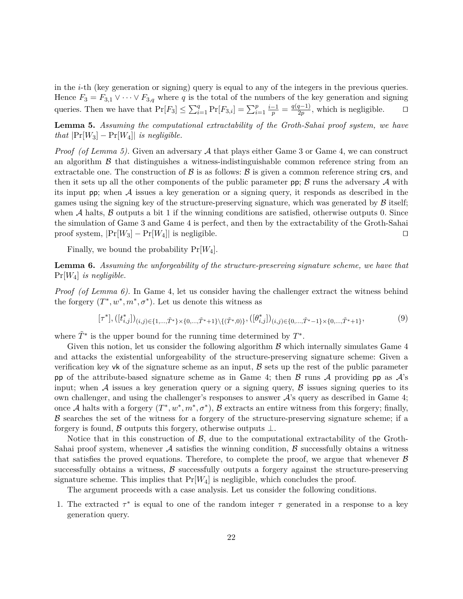in the *i*-th (key generation or signing) query is equal to any of the integers in the previous queries. Hence  $F_3 = F_{3,1} \vee \cdots \vee F_{3,q}$  where *q* is the total of the numbers of the key generation and signing queries. Then we have that  $Pr[F_3] \le \sum_{i=1}^q Pr[F_{3,i}] = \sum_{i=1}^p \frac{i-1}{p} = \frac{q(q-1)}{2p}$  $\frac{q-1}{2p}$ , which is negligible.  $\square$ 

**Lemma 5.** *Assuming the computational extractability of the Groth-Sahai proof system, we have that*  $|\Pr[W_3] - \Pr[W_4]|$  *is negligible.* 

*Proof (of Lemma 5).* Given an adversary A that plays either Game 3 or Game 4, we can construct an algorithm  $\beta$  that distinguishes a witness-indistinguishable common reference string from an extractable one. The construction of  $\beta$  is as follows:  $\beta$  is given a common reference string crs, and then it sets up all the other components of the public parameter  $pp$ ;  $\beta$  runs the adversary  $\mathcal A$  with its input pp; when  $A$  issues a key generation or a signing query, it responds as described in the games using the signing key of the structure-preserving signature, which was generated by  $\beta$  itself; when A halts,  $\beta$  outputs a bit 1 if the winning conditions are satisfied, otherwise outputs 0. Since the simulation of Game 3 and Game 4 is perfect, and then by the extractability of the Groth-Sahai proof system,  $|\Pr[W_3] - \Pr[W_4]|$  is negligible.

Finally, we bound the probability Pr[*W*4].

**Lemma 6.** *Assuming the unforgeability of the structure-preserving signature scheme, we have that* Pr[*W*4] *is negligible.*

*Proof (of Lemma 6).* In Game 4, let us consider having the challenger extract the witness behind the forgery  $(T^*, w^*, m^*, \sigma^*)$ . Let us denote this witness as

$$
[\tau^*], ([t_{i,j}^*])_{(i,j)\in\{1,\ldots,\tilde{T}^*\}\times\{0,\ldots,\tilde{T}^*+1\}\setminus\{(\tilde{T}^*,0)\}}, ([\theta_{i,j}^*])_{(i,j)\in\{0,\ldots,\tilde{T}^*-1\}\times\{0,\ldots,\tilde{T}^*+1\}},
$$
(9)

where  $\tilde{T}^*$  is the upper bound for the running time determined by  $T^*$ .

Given this notion, let us consider the following algorithm  $\beta$  which internally simulates Game 4 and attacks the existential unforgeability of the structure-preserving signature scheme: Given a verification key vk of the signature scheme as an input,  $\beta$  sets up the rest of the public parameter pp of the attribute-based signature scheme as in Game 4; then  $\beta$  runs  $\mathcal A$  providing pp as  $\mathcal A$ 's input; when A issues a key generation query or a signing query,  $\beta$  issues signing queries to its own challenger, and using the challenger's responses to answer  $\mathcal{A}$ 's query as described in Game 4; once A halts with a forgery  $(T^*, w^*, m^*, \sigma^*)$ , B extracts an entire witness from this forgery; finally, B searches the set of the witness for a forgery of the structure-preserving signature scheme; if a forgery is found, B outputs this forgery, otherwise outputs  $\perp$ .

Notice that in this construction of  $\beta$ , due to the computational extractability of the Groth-Sahai proof system, whenever  $\mathcal A$  satisfies the winning condition,  $\mathcal B$  successfully obtains a witness that satisfies the proved equations. Therefore, to complete the proof, we argue that whenever  $\beta$ successfully obtains a witness,  $\beta$  successfully outputs a forgery against the structure-preserving signature scheme. This implies that  $Pr[W_4]$  is negligible, which concludes the proof.

The argument proceeds with a case analysis. Let us consider the following conditions.

1. The extracted  $\tau^*$  is equal to one of the random integer  $\tau$  generated in a response to a key generation query.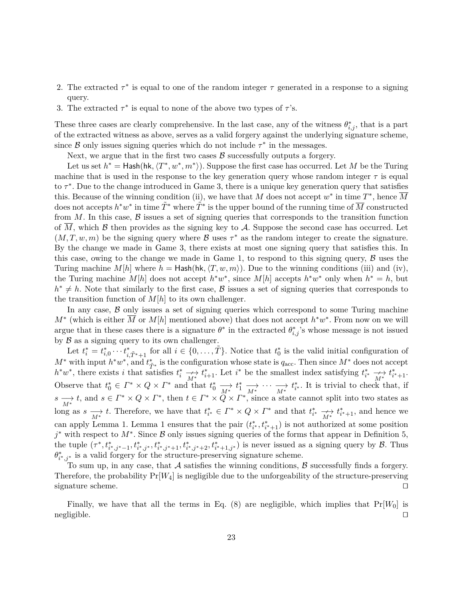- 2. The extracted  $\tau^*$  is equal to one of the random integer  $\tau$  generated in a response to a signing query.
- 3. The extracted  $\tau^*$  is equal to none of the above two types of  $\tau$ 's.

These three cases are clearly comprehensive. In the last case, any of the witness  $\theta^*_{i,j}$ , that is a part of the extracted witness as above, serves as a valid forgery against the underlying signature scheme, since  $\beta$  only issues signing queries which do not include  $\tau^*$  in the messages.

Next, we argue that in the first two cases  $\beta$  successfully outputs a forgery.

Let us set  $h^* =$  Hash(hk,  $\langle T^*, w^*, m^* \rangle$ ). Suppose the first case has occurred. Let *M* be the Turing machine that is used in the response to the key generation query whose random integer  $\tau$  is equal to *τ* ∗ . Due to the change introduced in Game 3, there is a unique key generation query that satisfies this. Because of the winning condition (ii), we have that *M* does not accept  $w^*$  in time  $T^*$ , hence  $\overline{M}$  $\det A^* w^*$  in time  $\tilde T^*$  where  $\tilde T^*$  is the upper bound of the running time of  $\overline M$  constructed from *M*. In this case, B issues a set of signing queries that corresponds to the transition function of  $\overline{M}$ , which  $\beta$  then provides as the signing key to  $\mathcal A$ . Suppose the second case has occurred. Let  $(M, T, w, m)$  be the signing query where B uses  $\tau^*$  as the random integer to create the signature. By the change we made in Game 3, there exists at most one signing query that satisfies this. In this case, owing to the change we made in Game 1, to respond to this signing query,  $\beta$  uses the Turing machine  $M[h]$  where  $h =$  Hash(hk,  $\langle T, w, m \rangle$ ). Due to the winning conditions (iii) and (iv), the Turing machine  $M[h]$  does not accept  $h^*w^*$ , since  $M[h]$  accepts  $h^*w^*$  only when  $h^* = h$ , but  $h^* \neq h$ . Note that similarly to the first case, B issues a set of signing queries that corresponds to the transition function of  $M[h]$  to its own challenger.

In any case,  $\beta$  only issues a set of signing queries which correspond to some Turing machine  $M^*$  (which is either  $\overline{M}$  or  $M[h]$  mentioned above) that does not accept  $h^*w^*$ . From now on we will argue that in these cases there is a signature  $\theta^*$  in the extracted  $\theta^*_{i,j}$ 's whose message is not issued by  $\beta$  as a signing query to its own challenger.

Let  $t_i^* = t_{i,0}^* \cdots t_{i,\tilde{T}^*+1}^*$  for all  $i \in \{0,\ldots,\tilde{T}\}$ . Notice that  $t_0^*$  is the valid initial configuration of  $M^*$  with input  $h^*w^*$ , and  $t^*_{\tilde{T}^*}$  is the configuration whose state is  $q_{\text{acc}}$ . Then since  $M^*$  does not accept  $h^*w^*$ , there exists i that satisfies  $t_i^* \nightharpoonup t_{i+1}^*$ . Let  $i^*$  be the smallest index satisfying  $t_{i^*}^* \nightharpoonup t_{i^*+1}^*$ . Observe that  $t_0^* \in \Gamma^* \times Q \times \Gamma^*$  and that  $t_0^* \xrightarrow[M^*]{} t_1^* \xrightarrow[M^*]{} t_i^*$ . It is trivial to check that, if  $s \longrightarrow t$ , and  $s \in \Gamma^* \times Q \times \Gamma^*$ , then  $t \in \Gamma^* \times \tilde{Q} \times \Gamma^*$ , since a state cannot split into two states as long as  $s \longrightarrow_{M^*} t$ . Therefore, we have that  $t_{i^*}^* \in \Gamma^* \times Q \times \Gamma^*$  and that  $t_{i^*}^* \longrightarrow t_{i^*+1}^*$ , and hence we can apply Lemma 1. Lemma 1 ensures that the pair  $(t^*_{i^*}, t^*_{i^*+1})$  is not authorized at some position *j*<sup>\*</sup> with respect to *M*<sup>\*</sup>. Since *B* only issues signing queries of the forms that appear in Definition 5, the tuple  $(\tau^*, t^*_{i^*, j^*-1}, t^*_{i^*, j^*}, t^*_{i^*, j^*+1}, t^*_{i^*, j^*+2}, t^*_{i^*+1, j^*})$  is never issued as a signing query by  $\mathcal{B}$ . Thus  $\theta^*_{i^*,j^*}$  is a valid forgery for the structure-preserving signature scheme.

To sum up, in any case, that  $A$  satisfies the winning conditions,  $B$  successfully finds a forgery. Therefore, the probability  $Pr[W_4]$  is negligible due to the unforgeability of the structure-preserving signature scheme.  $\Box$ 

Finally, we have that all the terms in Eq. (8) are negligible, which implies that  $Pr[W_0]$  is  $\Box$  negligible.  $\Box$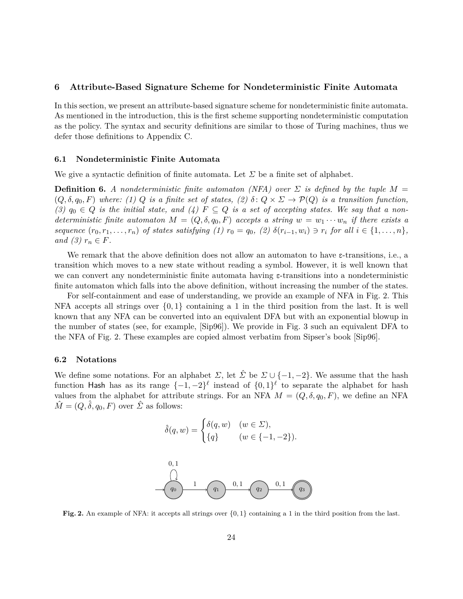# **6 Attribute-Based Signature Scheme for Nondeterministic Finite Automata**

In this section, we present an attribute-based signature scheme for nondeterministic finite automata. As mentioned in the introduction, this is the first scheme supporting nondeterministic computation as the policy. The syntax and security definitions are similar to those of Turing machines, thus we defer those definitions to Appendix C.

#### **6.1 Nondeterministic Finite Automata**

We give a syntactic definition of finite automata. Let *Σ* be a finite set of alphabet.

**Definition 6.** *A nondeterministic finite automaton (NFA) over*  $\Sigma$  *is defined by the tuple*  $M =$  $(Q, \delta, q_0, F)$  where: (1) *Q* is a finite set of states, (2)  $\delta: Q \times \Sigma \to \mathcal{P}(Q)$  is a transition function, (3)  $q_0 \in Q$  *is the initial state, and (4)*  $F \subseteq Q$  *is a set of accepting states. We say that a nondeterministic finite automaton*  $M = (Q, \delta, q_0, F)$  *accepts a string*  $w = w_1 \cdots w_n$  *if there exists a* sequence  $(r_0, r_1, \ldots, r_n)$  of states satisfying (1)  $r_0 = q_0$ , (2)  $\delta(r_{i-1}, w_i) \ni r_i$  for all  $i \in \{1, \ldots, n\}$ , *and*  $(3)$   $r_n \in F$ .

We remark that the above definition does not allow an automaton to have ε-transitions, i.e., a transition which moves to a new state without reading a symbol. However, it is well known that we can convert any nondeterministic finite automata having ε-transitions into a nondeterministic finite automaton which falls into the above definition, without increasing the number of the states.

For self-containment and ease of understanding, we provide an example of NFA in Fig. 2. This NFA accepts all strings over {0*,* 1} containing a 1 in the third position from the last. It is well known that any NFA can be converted into an equivalent DFA but with an exponential blowup in the number of states (see, for example, [Sip96]). We provide in Fig. 3 such an equivalent DFA to the NFA of Fig. 2. These examples are copied almost verbatim from Sipser's book [Sip96].

#### **6.2 Notations**

We define some notations. For an alphabet *Σ*, let  $\hat{\Sigma}$  be  $\Sigma \cup \{-1, -2\}$ . We assume that the hash function Hash has as its range  $\{-1, -2\}^{\ell}$  instead of  $\{0, 1\}^{\ell}$  to separate the alphabet for hash values from the alphabet for attribute strings. For an NFA  $M = (Q, \delta, q_0, F)$ , we define an NFA  $\hat{M} = (Q, \hat{\delta}, q_0, F)$  over  $\hat{\Sigma}$  as follows:

$$
\hat{\delta}(q, w) = \begin{cases} \delta(q, w) & (w \in \Sigma), \\ \{q\} & (w \in \{-1, -2\}). \end{cases}
$$



**Fig. 2.** An example of NFA: it accepts all strings over {0*,* 1} containing a 1 in the third position from the last.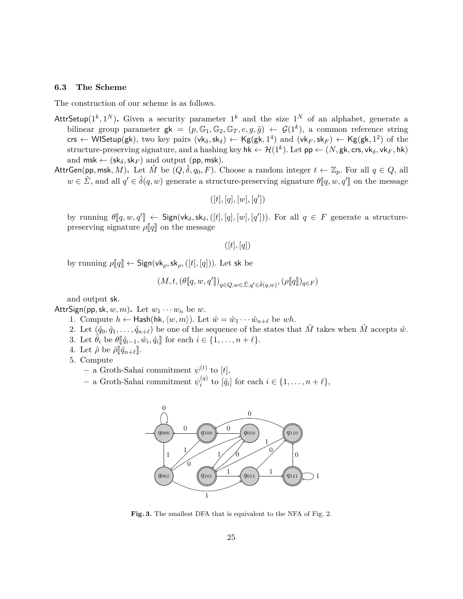# **6.3 The Scheme**

The construction of our scheme is as follows.

- AttrSetup( $1^k$ ,  $1^N$ ). Given a security parameter  $1^k$  and the size  $1^N$  of an alphabet, generate a bilinear group parameter  $g\mathbf{k} = (p, \mathbb{G}_1, \mathbb{G}_2, \mathbb{G}_T, e, g, \tilde{g}) \leftarrow \mathcal{G}(1^k)$ , a common reference string  $\mathsf{c} \mathsf{r} \mathsf{s} \leftarrow \mathsf{WISetup}(\mathsf{g}\mathsf{k}), \text{ two key pairs } (\mathsf{vk}_\delta,\mathsf{sk}_\delta) \leftarrow \mathsf{Kg}(\mathsf{g}\mathsf{k},1^4) \text{ and } (\mathsf{vk}_F,\mathsf{sk}_F) \leftarrow \mathsf{Kg}(\mathsf{g}\mathsf{k},1^2) \text{ of the } \mathsf{v}$  ${\rm structure\text{-}preserving\,\,signature, and\,\,a\,\,hashing\,\,key\,\,hk} \leftarrow \mathcal{H}(1^k)$ . Let  ${\sf pp} \leftarrow (N,{\sf g}{\sf k}, {\sf crs},{\sf v}{\sf k}_\delta,{\sf v}{\sf k}_F,{\sf hk})$ and  $\mathsf{msk} \leftarrow (\mathsf{sk}_{\delta}, \mathsf{sk}_{F})$  and output (pp, msk).
- AttrGen(pp, msk, M). Let  $\hat{M}$  be  $(Q, \hat{\delta}, q_0, F)$ . Choose a random integer  $t \leftarrow \mathbb{Z}_p$ . For all  $q \in Q$ , all  $w \in \hat{\Sigma}$ , and all  $q' \in \hat{\delta}(q, w)$  generate a structure-preserving signature  $\theta[\![q, w, q']\!]$  on the message

 $([t], [q], [w], [q'])$ 

by running  $\theta[\![q, w, q']\!] \leftarrow \text{Sign}(\mathsf{vk}_\delta, \mathsf{sk}_\delta, ([t], [q], [w], [q']])$ . For all  $q \in F$  generate a structurepreserving signature  $\rho\llbracket q \rrbracket$  on the message

 $([t],[q])$ 

by running  $\rho[\![q]\!] \leftarrow$  Sign(vk<sub>ρ</sub>, sk<sub>ρ</sub>, ([t], [q])). Let sk be

$$
(M,t,(\theta[\![q,w,q']\!])_{q\in Q,w\in\hat{\mathcal{Z}},q'\in\hat{\delta}(q,w)},(\rho[\![q]\!])_{q\in F})
$$

and output sk.

AttrSign(pp, sk,  $w, m$ ). Let  $w_1 \cdots w_n$  be  $w$ .

- 1. Compute  $h \leftarrow$  Hash(hk,  $\langle w, m \rangle$ ). Let  $\hat{w} = \hat{w}_1 \cdots \hat{w}_{n+\ell}$  be  $wh$ .
- 2. Let  $(\hat{q}_0, \hat{q}_1, \ldots, \hat{q}_{n+\ell})$  be one of the sequence of the states that  $\hat{M}$  takes when  $\hat{M}$  accepts  $\hat{w}$ .
- 3. Let  $\hat{\theta}_i$  be  $\theta[\hat{q}_{i-1}, \hat{w}_i, \hat{q}_i]$  for each  $i \in \{1, \ldots, n+\ell\}$ .
- 4. Let  $\hat{\rho}$  be  $\hat{\rho}$  $\left[\hat{q}_{n+\ell}\right]$ .

5. Compute

 $-$  a Groth-Sahai commitment  $\psi^{(t)}$  to [t],

 $-$  a Groth-Sahai commitment  $\psi_i^{(q)}$  $i^{(q)}$  to  $[\hat{q}_i]$  for each  $i \in \{1, ..., n + \ell\},\$ 



**Fig. 3.** The smallest DFA that is equivalent to the NFA of Fig. 2.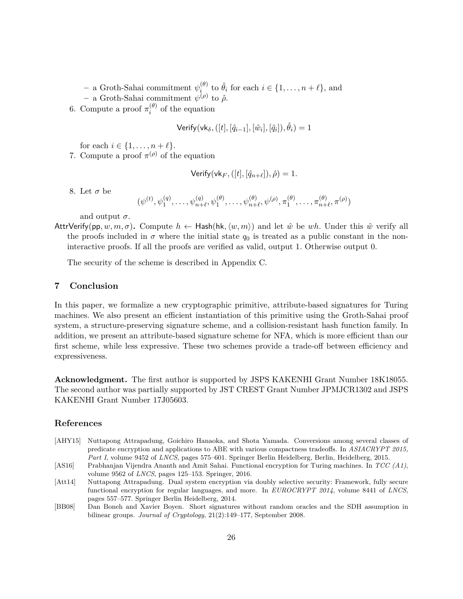**–** a Groth-Sahai commitment *ψ* (*θ*)  $\hat{\theta}_i^{(\theta)}$  to  $\hat{\theta}_i$  for each  $i \in \{1, \ldots, n + \ell\}$ , and

- **–** a Groth-Sahai commitment *ψ* (*ρ*) to *ρ*ˆ.
- 6. Compute a proof  $\pi_i^{(\theta)}$  $i^{\left(\sigma\right)}$  of the equation

$$
\mathsf{Verify}(\mathsf{vk}_{\delta},([t],[\hat{q}_{i-1}],[\hat{w}_i],[\hat{q}_i]),\hat{\theta}_i)=1
$$

for each  $i \in \{1, ..., n + \ell\}.$ 

7. Compute a proof  $\pi^{(\rho)}$  of the equation

$$
\mathsf{Verify}(\mathsf{vk}_F,([t],[\hat{q}_{n+\ell}]),\hat{\rho})=1.
$$

8. Let *σ* be

 $(\psi^{(t)}, \psi^{(q)}_1, \ldots, \psi^{(q)}_{n+\ell}, \psi^{(\theta)}_1, \ldots, \psi^{(\theta)}_{n+\ell}, \psi^{(\rho)}, \pi^{(\theta)}_1)$  $\pi_1^{(\theta)}, \ldots, \pi_{n+1}^{(\theta)}$  $\binom{(\theta)}{n+\ell}, \pi^{(\rho)}$ 

and output  $\sigma$ .

AttrVerify(pp,  $w, m, \sigma$ ). Compute  $h \leftarrow$  Hash(hk,  $\langle w, m \rangle$ ) and let  $\hat{w}$  be wh. Under this  $\hat{w}$  verify all the proofs included in  $\sigma$  where the initial state  $q_0$  is treated as a public constant in the noninteractive proofs. If all the proofs are verified as valid, output 1. Otherwise output 0.

The security of the scheme is described in Appendix C.

# **7 Conclusion**

In this paper, we formalize a new cryptographic primitive, attribute-based signatures for Turing machines. We also present an efficient instantiation of this primitive using the Groth-Sahai proof system, a structure-preserving signature scheme, and a collision-resistant hash function family. In addition, we present an attribute-based signature scheme for NFA, which is more efficient than our first scheme, while less expressive. These two schemes provide a trade-off between efficiency and expressiveness.

**Acknowledgment.** The first author is supported by JSPS KAKENHI Grant Number 18K18055. The second author was partially supported by JST CREST Grant Number JPMJCR1302 and JSPS KAKENHI Grant Number 17J05603.

# **References**

- [AHY15] Nuttapong Attrapadung, Goichiro Hanaoka, and Shota Yamada. Conversions among several classes of predicate encryption and applications to ABE with various compactness tradeoffs. In *ASIACRYPT 2015, Part I*, volume 9452 of *LNCS*, pages 575–601. Springer Berlin Heidelberg, Berlin, Heidelberg, 2015.
- [AS16] Prabhanjan Vijendra Ananth and Amit Sahai. Functional encryption for Turing machines. In *TCC (A1)*, volume 9562 of *LNCS*, pages 125–153. Springer, 2016.
- [Att14] Nuttapong Attrapadung. Dual system encryption via doubly selective security: Framework, fully secure functional encryption for regular languages, and more. In *EUROCRYPT 2014*, volume 8441 of *LNCS*, pages 557–577. Springer Berlin Heidelberg, 2014.
- [BB08] Dan Boneh and Xavier Boyen. Short signatures without random oracles and the SDH assumption in bilinear groups. *Journal of Cryptology*, 21(2):149–177, September 2008.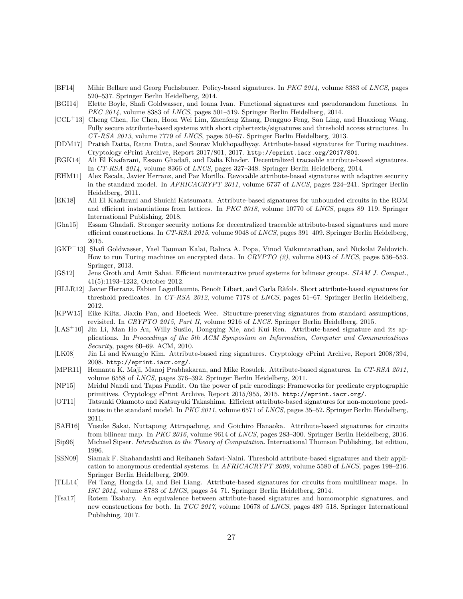- [BF14] Mihir Bellare and Georg Fuchsbauer. Policy-based signatures. In *PKC 2014*, volume 8383 of *LNCS*, pages 520–537. Springer Berlin Heidelberg, 2014.
- [BGI14] Elette Boyle, Shafi Goldwasser, and Ioana Ivan. Functional signatures and pseudorandom functions. In *PKC 2014*, volume 8383 of *LNCS*, pages 501–519. Springer Berlin Heidelberg, 2014.
- [CCL<sup>+</sup>13] Cheng Chen, Jie Chen, Hoon Wei Lim, Zhenfeng Zhang, Dengguo Feng, San Ling, and Huaxiong Wang. Fully secure attribute-based systems with short ciphertexts/signatures and threshold access structures. In *CT-RSA 2013*, volume 7779 of *LNCS*, pages 50–67. Springer Berlin Heidelberg, 2013.
- [DDM17] Pratish Datta, Ratna Dutta, and Sourav Mukhopadhyay. Attribute-based signatures for Turing machines. Cryptology ePrint Archive, Report 2017/801, 2017. http://eprint.iacr.org/2017/801.
- [EGK14] Ali El Kaafarani, Essam Ghadafi, and Dalia Khader. Decentralized traceable attribute-based signatures. In *CT-RSA 2014*, volume 8366 of *LNCS*, pages 327–348. Springer Berlin Heidelberg, 2014.
- [EHM11] Alex Escala, Javier Herranz, and Paz Morillo. Revocable attribute-based signatures with adaptive security in the standard model. In *AFRICACRYPT 2011*, volume 6737 of *LNCS*, pages 224–241. Springer Berlin Heidelberg, 2011.
- [EK18] Ali El Kaafarani and Shuichi Katsumata. Attribute-based signatures for unbounded circuits in the ROM and efficient instantiations from lattices. In *PKC 2018*, volume 10770 of *LNCS*, pages 89–119. Springer International Publishing, 2018.
- [Gha15] Essam Ghadafi. Stronger security notions for decentralized traceable attribute-based signatures and more efficient constructions. In *CT-RSA 2015*, volume 9048 of *LNCS*, pages 391–409. Springer Berlin Heidelberg, 2015.
- [GKP<sup>+</sup>13] Shafi Goldwasser, Yael Tauman Kalai, Raluca A. Popa, Vinod Vaikuntanathan, and Nickolai Zeldovich. How to run Turing machines on encrypted data. In *CRYPTO (2)*, volume 8043 of *LNCS*, pages 536–553. Springer, 2013.
- [GS12] Jens Groth and Amit Sahai. Efficient noninteractive proof systems for bilinear groups. *SIAM J. Comput.*, 41(5):1193–1232, October 2012.
- [HLLR12] Javier Herranz, Fabien Laguillaumie, Benoît Libert, and Carla Ràfols. Short attribute-based signatures for threshold predicates. In *CT-RSA 2012*, volume 7178 of *LNCS*, pages 51–67. Springer Berlin Heidelberg, 2012.
- [KPW15] Eike Kiltz, Jiaxin Pan, and Hoeteck Wee. Structure-preserving signatures from standard assumptions, revisited. In *CRYPTO 2015, Part II*, volume 9216 of *LNCS*. Springer Berlin Heidelberg, 2015.
- [LAS<sup>+</sup>10] Jin Li, Man Ho Au, Willy Susilo, Dongqing Xie, and Kui Ren. Attribute-based signature and its applications. In *Proceedings of the 5th ACM Symposium on Information, Computer and Communications Security*, pages 60–69. ACM, 2010.
- [LK08] Jin Li and Kwangjo Kim. Attribute-based ring signatures. Cryptology ePrint Archive, Report 2008/394, 2008. http://eprint.iacr.org/.
- [MPR11] Hemanta K. Maji, Manoj Prabhakaran, and Mike Rosulek. Attribute-based signatures. In *CT-RSA 2011*, volume 6558 of *LNCS*, pages 376–392. Springer Berlin Heidelberg, 2011.
- [NP15] Mridul Nandi and Tapas Pandit. On the power of pair encodings: Frameworks for predicate cryptographic primitives. Cryptology ePrint Archive, Report 2015/955, 2015. http://eprint.iacr.org/.
- [OT11] Tatsuaki Okamoto and Katsuyuki Takashima. Efficient attribute-based signatures for non-monotone predicates in the standard model. In *PKC 2011*, volume 6571 of *LNCS*, pages 35–52. Springer Berlin Heidelberg, 2011.
- [SAH16] Yusuke Sakai, Nuttapong Attrapadung, and Goichiro Hanaoka. Attribute-based signatures for circuits from bilinear map. In *PKC 2016*, volume 9614 of *LNCS*, pages 283–300. Springer Berlin Heidelberg, 2016.
- [Sip96] Michael Sipser. *Introduction to the Theory of Computation*. International Thomson Publishing, 1st edition, 1996.
- [SSN09] Siamak F. Shahandashti and Reihaneh Safavi-Naini. Threshold attribute-based signatures and their application to anonymous credential systems. In *AFRICACRYPT 2009*, volume 5580 of *LNCS*, pages 198–216. Springer Berlin Heidelberg, 2009.
- [TLL14] Fei Tang, Hongda Li, and Bei Liang. Attribute-based signatures for circuits from multilinear maps. In *ISC 2014*, volume 8783 of *LNCS*, pages 54–71. Springer Berlin Heidelberg, 2014.
- [Tsa17] Rotem Tsabary. An equivalence between attribute-based signatures and homomorphic signatures, and new constructions for both. In *TCC 2017*, volume 10678 of *LNCS*, pages 489–518. Springer International Publishing, 2017.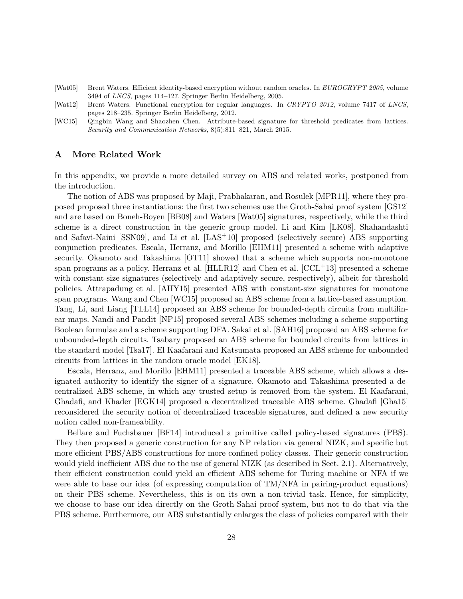- [Wat05] Brent Waters. Efficient identity-based encryption without random oracles. In *EUROCRYPT 2005*, volume 3494 of *LNCS*, pages 114–127. Springer Berlin Heidelberg, 2005.
- [Wat12] Brent Waters. Functional encryption for regular languages. In *CRYPTO 2012*, volume 7417 of *LNCS*, pages 218–235. Springer Berlin Heidelberg, 2012.
- [WC15] Qingbin Wang and Shaozhen Chen. Attribute-based signature for threshold predicates from lattices. *Security and Communication Networks*, 8(5):811–821, March 2015.

# **A More Related Work**

In this appendix, we provide a more detailed survey on ABS and related works, postponed from the introduction.

The notion of ABS was proposed by Maji, Prabhakaran, and Rosulek [MPR11], where they proposed proposed three instantiations: the first two schemes use the Groth-Sahai proof system [GS12] and are based on Boneh-Boyen [BB08] and Waters [Wat05] signatures, respectively, while the third scheme is a direct construction in the generic group model. Li and Kim [LK08], Shahandashti and Safavi-Naini [SSN09], and Li et al. [LAS+10] proposed (selectively secure) ABS supporting conjunction predicates. Escala, Herranz, and Morillo [EHM11] presented a scheme with adaptive security. Okamoto and Takashima [OT11] showed that a scheme which supports non-monotone span programs as a policy. Herranz et al.  $[HLLR12]$  and Chen et al.  $[CCL<sup>+</sup>13]$  presented a scheme with constant-size signatures (selectively and adaptively secure, respectively), albeit for threshold policies. Attrapadung et al. [AHY15] presented ABS with constant-size signatures for monotone span programs. Wang and Chen [WC15] proposed an ABS scheme from a lattice-based assumption. Tang, Li, and Liang [TLL14] proposed an ABS scheme for bounded-depth circuits from multilinear maps. Nandi and Pandit [NP15] proposed several ABS schemes including a scheme supporting Boolean formulae and a scheme supporting DFA. Sakai et al. [SAH16] proposed an ABS scheme for unbounded-depth circuits. Tsabary proposed an ABS scheme for bounded circuits from lattices in the standard model [Tsa17]. El Kaafarani and Katsumata proposed an ABS scheme for unbounded circuits from lattices in the random oracle model [EK18].

Escala, Herranz, and Morillo [EHM11] presented a traceable ABS scheme, which allows a designated authority to identify the signer of a signature. Okamoto and Takashima presented a decentralized ABS scheme, in which any trusted setup is removed from the system. El Kaafarani, Ghadafi, and Khader [EGK14] proposed a decentralized traceable ABS scheme. Ghadafi [Gha15] reconsidered the security notion of decentralized traceable signatures, and defined a new security notion called non-frameability.

Bellare and Fuchsbauer [BF14] introduced a primitive called policy-based signatures (PBS). They then proposed a generic construction for any NP relation via general NIZK, and specific but more efficient PBS/ABS constructions for more confined policy classes. Their generic construction would yield inefficient ABS due to the use of general NIZK (as described in Sect. 2.1). Alternatively, their efficient construction could yield an efficient ABS scheme for Turing machine or NFA if we were able to base our idea (of expressing computation of TM/NFA in pairing-product equations) on their PBS scheme. Nevertheless, this is on its own a non-trivial task. Hence, for simplicity, we choose to base our idea directly on the Groth-Sahai proof system, but not to do that via the PBS scheme. Furthermore, our ABS substantially enlarges the class of policies compared with their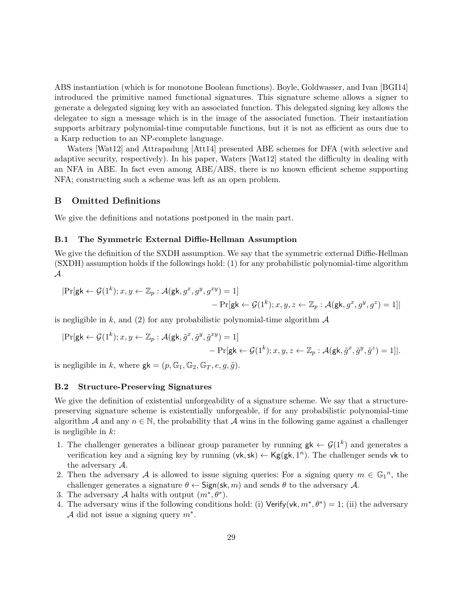ABS instantiation (which is for monotone Boolean functions). Boyle, Goldwasser, and Ivan [BGI14] introduced the primitive named functional signatures. This signature scheme allows a signer to generate a delegated signing key with an associated function. This delegated signing key allows the delegatee to sign a message which is in the image of the associated function. Their instantiation supports arbitrary polynomial-time computable functions, but it is not as efficient as ours due to a Karp reduction to an NP-complete language.

Waters [Wat12] and Attrapadung [Att14] presented ABE schemes for DFA (with selective and adaptive security, respectively). In his paper, Waters [Wat12] stated the difficulty in dealing with an NFA in ABE. In fact even among ABE/ABS, there is no known efficient scheme supporting NFA; constructing such a scheme was left as an open problem.

## **B Omitted Definitions**

We give the definitions and notations postponed in the main part.

#### **B.1 The Symmetric External Diffie-Hellman Assumption**

We give the definition of the SXDH assumption. We say that the symmetric external Diffie-Hellman (SXDH) assumption holds if the followings hold: (1) for any probabilistic polynomial-time algorithm  $\mathcal{A}$ 

$$
|\Pr[\mathsf{gk} \leftarrow \mathcal{G}(1^k); x, y \leftarrow \mathbb{Z}_p : \mathcal{A}(\mathsf{gk}, g^x, g^y, g^{xy}) = 1] - \Pr[\mathsf{gk} \leftarrow \mathcal{G}(1^k); x, y, z \leftarrow \mathbb{Z}_p : \mathcal{A}(\mathsf{gk}, g^x, g^y, g^z) = 1]|
$$

is negligible in  $k$ , and (2) for any probabilistic polynomial-time algorithm  $A$ 

$$
|\Pr[\mathsf{gk} \leftarrow \mathcal{G}(1^k); x, y \leftarrow \mathbb{Z}_p : \mathcal{A}(\mathsf{gk}, \tilde{g}^x, \tilde{g}^y, \tilde{g}^{xy}) = 1] - \Pr[\mathsf{gk} \leftarrow \mathcal{G}(1^k); x, y, z \leftarrow \mathbb{Z}_p : \mathcal{A}(\mathsf{gk}, \tilde{g}^x, \tilde{g}^y, \tilde{g}^z) = 1]|.
$$

is negligible in *k*, where  $g\mathbf{k} = (p, \mathbb{G}_1, \mathbb{G}_2, \mathbb{G}_T, e, g, \tilde{g}).$ 

#### **B.2 Structure-Preserving Signatures**

We give the definition of existential unforgeability of a signature scheme. We say that a structurepreserving signature scheme is existentially unforgeable, if for any probabilistic polynomial-time algorithm A and any  $n \in \mathbb{N}$ , the probability that A wins in the following game against a challenger is negligible in *k*:

- 1. The challenger generates a bilinear group parameter by running  $g\mathbf{k} \leftarrow \mathcal{G}(1^k)$  and generates a verification key and a signing key by running  $(vk, sk) \leftarrow Kg(gk, 1^n)$ . The challenger sends vk to the adversary A.
- 2. Then the adversary A is allowed to issue signing queries: For a signing query  $m \in \mathbb{G}_1^n$ , the challenger generates a signature  $\theta \leftarrow \text{Sign}(\textbf{sk}, m)$  and sends  $\theta$  to the adversary A.
- 3. The adversary A halts with output  $(m^*, \theta^*)$ .
- 4. The adversary wins if the following conditions hold: (i)  $Verify(vk, m^*, \theta^*) = 1$ ; (ii) the adversary A did not issue a signing query *m*<sup>∗</sup> .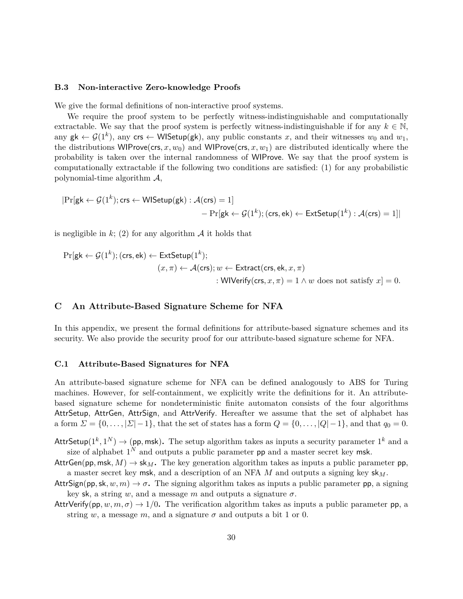#### **B.3 Non-interactive Zero-knowledge Proofs**

We give the formal definitions of non-interactive proof systems.

We require the proof system to be perfectly witness-indistinguishable and computationally extractable. We say that the proof system is perfectly witness-indistinguishable if for any  $k \in \mathbb{N}$ , any  $g\mathsf{k} \leftarrow \mathcal{G}(1^k)$ , any  $\mathsf{crs} \leftarrow \mathsf{WISetup}(g\mathsf{k})$ , any public constants x, and their witnesses  $w_0$  and  $w_1$ , the distributions WIProve(crs, x,  $w_0$ ) and WIProve(crs, x,  $w_1$ ) are distributed identically where the probability is taken over the internal randomness of WIProve. We say that the proof system is computationally extractable if the following two conditions are satisfied: (1) for any probabilistic polynomial-time algorithm  $\mathcal{A}$ ,

$$
|\Pr[\mathsf{gk} \leftarrow \mathcal{G}(1^k); \text{crs} \leftarrow \text{WISetup}(\mathsf{gk}) : \mathcal{A}(\text{crs}) = 1]
$$
  
-  $\Pr[\mathsf{gk} \leftarrow \mathcal{G}(1^k); (\text{crs}, \text{ek}) \leftarrow \text{ExtSetup}(1^k) : \mathcal{A}(\text{crs}) = 1]|$ 

is negligible in  $k$ ; (2) for any algorithm  $A$  it holds that

$$
\Pr[\mathsf{gk} \leftarrow \mathcal{G}(1^k); (\mathsf{crs}, \mathsf{ek}) \leftarrow \mathsf{ExtSetup}(1^k);
$$
  

$$
(x, \pi) \leftarrow \mathcal{A}(\mathsf{crs}); w \leftarrow \mathsf{Extract}(\mathsf{crs}, \mathsf{ek}, x, \pi)
$$
  
: WIVerify( $\mathsf{crs}, x, \pi$ ) = 1  $\wedge w$  does not satisfy  $x$ ] = 0.

## **C An Attribute-Based Signature Scheme for NFA**

In this appendix, we present the formal definitions for attribute-based signature schemes and its security. We also provide the security proof for our attribute-based signature scheme for NFA.

#### **C.1 Attribute-Based Signatures for NFA**

An attribute-based signature scheme for NFA can be defined analogously to ABS for Turing machines. However, for self-containment, we explicitly write the definitions for it. An attributebased signature scheme for nondeterministic finite automaton consists of the four algorithms AttrSetup, AttrGen, AttrSign, and AttrVerify. Hereafter we assume that the set of alphabet has a form  $\Sigma = \{0, \ldots, |\Sigma| - 1\}$ , that the set of states has a form  $Q = \{0, \ldots, |Q| - 1\}$ , and that  $q_0 = 0$ .

AttrSetup( $1^k, 1^N$ )  $\rightarrow$  (pp, msk). The setup algorithm takes as inputs a security parameter  $1^k$  and a size of alphabet  $1^N$  and outputs a public parameter  $pp$  and a master secret key msk.

AttrGen(pp, msk,  $M$ )  $\rightarrow$  sk<sub>M</sub>. The key generation algorithm takes as inputs a public parameter pp, a master secret key msk, and a description of an NFA *M* and outputs a signing key sk*M*.

- Attr $\text{Sign}(pp, sk, w, m) \rightarrow \sigma$ . The signing algorithm takes as inputs a public parameter pp, a signing key sk, a string *w*, and a message *m* and outputs a signature  $\sigma$ .
- Attr $\text{Verify}(pp, w, m, \sigma) \rightarrow 1/0$ . The verification algorithm takes as inputs a public parameter pp, a string *w*, a message *m*, and a signature  $\sigma$  and outputs a bit 1 or 0.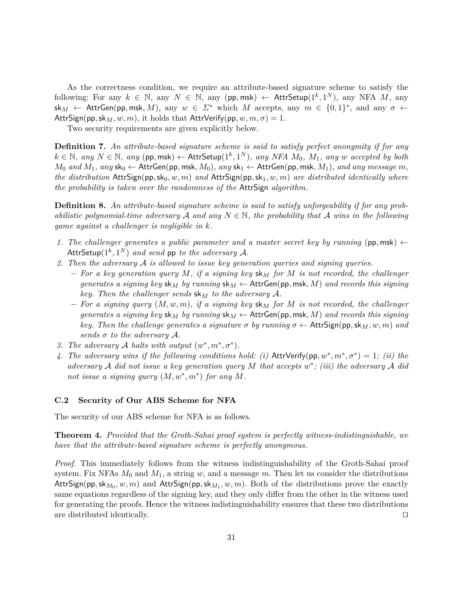As the correctness condition, we require an attribute-based signature scheme to satisfy the following: For any  $k \in \mathbb{N}$ , any  $N \in \mathbb{N}$ , any  $(pp, msk) \leftarrow$  AttrSetup $(1^k, 1^N)$ , any NFA *M*, any  $\mathsf{sk}_M \leftarrow \mathsf{AttrGen}(\mathsf{pp}, \mathsf{msk}, M)$ , any  $w \in \mathbb{Z}^*$  which  $M$  accepts, any  $m \in \{0,1\}^*$ , and any  $\sigma \leftarrow \mathsf{sk}_M$ AttrSign(pp, sk<sub>M</sub>, w, m), it holds that AttrVerify(pp, w,  $m, \sigma$ ) = 1.

Two security requirements are given explicitly below.

**Definition 7.** *An attribute-based signature scheme is said to satisfy perfect anonymity if for any*  $k \in \mathbb{N}$ *, any*  $N \in \mathbb{N}$ *, any* (pp, msk) ← AttrSetup $(1^k, 1^N)$ *, any NFA*  $M_0$ *,*  $M_1$ *, any w* accepted by both  $M_0$  *and*  $M_1$ *, any* sk<sub>0</sub> ← AttrGen(pp, msk,  $M_0$ )*, any* sk<sub>1</sub> ← AttrGen(pp, msk,  $M_1$ )*, and any message m, the distribution* AttrSign(pp,sk<sub>0</sub>, w, m) and AttrSign(pp,sk<sub>1</sub>, w, m) are distributed identically where *the probability is taken over the randomness of the* AttrSign *algorithm.*

**Definition 8.** *An attribute-based signature scheme is said to satisfy unforgeability if for any probabilistic polynomial-time adversary* A *and any*  $N \in \mathbb{N}$ *, the probability that* A *wins in the following game against a challenger is negligible in k.*

- 1. The challenger generates a public parameter and a master secret key by running (pp, msk)  $\leftarrow$ Attr $\mathsf{Setup}(1^k,1^N)$  and send pp to the adversary A.
- *2. Then the adversary* A *is allowed to issue key generation queries and signing queries.*
	- **–** *For a key generation query M, if a signing key* sk*<sup>M</sup> for M is not recorded, the challenger generates a signing key*  $sk_M$  *by running*  $sk_M \leftarrow$  AttrGen(pp, msk, M) *and records this signing key. Then the challenger sends*  $sk_M$  *to the adversary* A.
	- **–** *For a signing query* (*M, w, m*)*, if a signing key* sk*<sup>M</sup> for M is not recorded, the challenger generates a signing key*  $sk_M$  *by running*  $sk_M \leftarrow$  AttrGen(pp, msk, M) *and records this signing key. Then the challenge generates a signature*  $\sigma$  *by running*  $\sigma \leftarrow$  AttrSign(pp,sk<sub>*M*</sub>, *w*, *m*) *and sends*  $\sigma$  *to the adversary*  $\mathcal{A}$ *.*
- *3. The adversary A halts with output*  $(w^*, m^*, \sigma^*)$ *.*
- 4. The adversary wins if the following conditions hold: (i) AttrVerify(pp,  $w^*, m^*, \sigma^*$ ) = 1*;* (ii) the *adversary* A *did not issue a key generation query M that accepts w* ∗ *; (iii) the adversary* A *did not issue a signing query*  $(M, w^*, m^*)$  *for any*  $M$ *.*

## **C.2 Security of Our ABS Scheme for NFA**

The security of our ABS scheme for NFA is as follows.

**Theorem 4.** *Provided that the Groth-Sahai proof system is perfectly witness-indistinguishable, we have that the attribute-based signature scheme is perfectly anonymous.*

*Proof.* This immediately follows from the witness indistinguishability of the Groth-Sahai proof system. Fix NFAs  $M_0$  and  $M_1$ , a string  $w$ , and a message  $m$ . Then let us consider the distributions  $\mathsf{AttrSign}(\mathsf{pp},\mathsf{sk}_{M_0},w,m)$  and  $\mathsf{AttrSign}(\mathsf{pp},\mathsf{sk}_{M_1},w,m).$  Both of the distributions prove the exactly same equations regardless of the signing key, and they only differ from the other in the witness used for generating the proofs. Hence the witness indistinguishability ensures that these two distributions are distributed identically.  $\Box$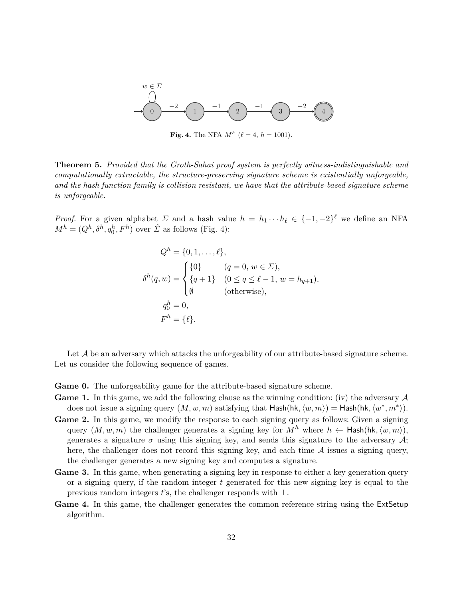

**Fig. 4.** The NFA  $M^h$  ( $\ell = 4$ ,  $h = 1001$ ).

**Theorem 5.** *Provided that the Groth-Sahai proof system is perfectly witness-indistinguishable and computationally extractable, the structure-preserving signature scheme is existentially unforgeable, and the hash function family is collision resistant, we have that the attribute-based signature scheme is unforgeable.*

*Proof.* For a given alphabet *Σ* and a hash value  $h = h_1 \cdots h_\ell \in \{-1, -2\}^\ell$  we define an NFA  $M^h = (Q^h, \delta^h, q_0^h, F^h)$  over  $\hat{\mathcal{L}}$  as follows (Fig. 4):

$$
Q^{h} = \{0, 1, ..., \ell\},
$$
  
\n
$$
\delta^{h}(q, w) = \begin{cases} \{0\} & (q = 0, w \in \Sigma), \\ \{q + 1\} & (0 \le q \le \ell - 1, w = h_{q+1}), \\ \emptyset & \text{(otherwise)}, \end{cases}
$$
  
\n
$$
q_{0}^{h} = 0,
$$
  
\n
$$
F^{h} = \{\ell\}.
$$

Let  $A$  be an adversary which attacks the unforgeability of our attribute-based signature scheme. Let us consider the following sequence of games.

- Game 0. The unforgeability game for the attribute-based signature scheme.
- Game 1. In this game, we add the following clause as the winning condition: (iv) the adversary A does not issue a signing query  $(M, w, m)$  satisfying that  $\mathsf{Hash}(\mathsf{hk},\langle w, m\rangle) = \mathsf{Hash}(\mathsf{hk},\langle w^*, m^*\rangle)$ .
- Game 2. In this game, we modify the response to each signing query as follows: Given a signing query  $(M, w, m)$  the challenger generates a signing key for  $M^h$  where  $h \leftarrow$  Hash(hk,  $\langle w, m \rangle$ ), generates a signature  $\sigma$  using this signing key, and sends this signature to the adversary  $\mathcal{A}$ ; here, the challenger does not record this signing key, and each time  $\mathcal A$  issues a signing query, the challenger generates a new signing key and computes a signature.
- **Game 3.** In this game, when generating a signing key in response to either a key generation query or a signing query, if the random integer *t* generated for this new signing key is equal to the previous random integers *t*'s, the challenger responds with ⊥.
- **Game 4.** In this game, the challenger generates the common reference string using the ExtSetup algorithm.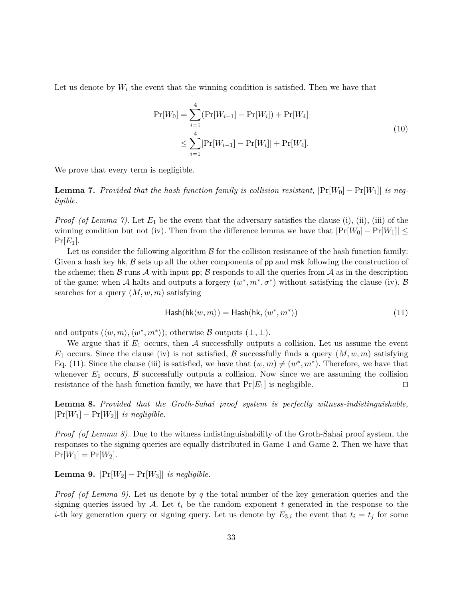Let us denote by  $W_i$  the event that the winning condition is satisfied. Then we have that

$$
\Pr[W_0] = \sum_{i=1}^4 (\Pr[W_{i-1}] - \Pr[W_i]) + \Pr[W_4] \\
\leq \sum_{i=1}^4 |\Pr[W_{i-1}] - \Pr[W_i]| + \Pr[W_4].\n\tag{10}
$$

We prove that every term is negligible.

**Lemma 7.** Provided that the hash function family is collision resistant,  $|\Pr[W_0] - \Pr[W_1]|$  is neg*ligible.*

*Proof* (of Lemma 7). Let  $E_1$  be the event that the adversary satisfies the clause (i), (ii), (iii) of the winning condition but not (iv). Then from the difference lemma we have that  $|Pr[W_0] - Pr[W_1]| \le$  $Pr[E_1]$ .

Let us consider the following algorithm  $\beta$  for the collision resistance of the hash function family: Given a hash key hk,  $\beta$  sets up all the other components of pp and msk following the construction of the scheme; then B runs A with input pp; B responds to all the queries from A as in the description of the game; when A halts and outputs a forgery  $(w^*, m^*, \sigma^*)$  without satisfying the clause (iv), B searches for a query (*M, w, m*) satisfying

$$
\mathsf{Hash}(\mathsf{hk}\langle w,m\rangle) = \mathsf{Hash}(\mathsf{hk}, \langle w^*, m^*\rangle) \tag{11}
$$

and outputs  $(\langle w, m \rangle, \langle w^*, m^* \rangle)$ ; otherwise B outputs  $(\bot, \bot)$ .

We argue that if  $E_1$  occurs, then A successfully outputs a collision. Let us assume the event  $E_1$  occurs. Since the clause (iv) is not satisfied, B successfully finds a query  $(M, w, m)$  satisfying Eq. (11). Since the clause (iii) is satisfied, we have that  $(w, m) \neq (w^*, m^*)$ . Therefore, we have that whenever  $E_1$  occurs,  $\beta$  successfully outputs a collision. Now since we are assuming the collision resistance of the hash function family, we have that  $Pr[E_1]$  is negligible.

**Lemma 8.** *Provided that the Groth-Sahai proof system is perfectly witness-indistinguishable,*  $|\Pr[W_1] - \Pr[W_2]|$  *is negligible.* 

*Proof (of Lemma 8).* Due to the witness indistinguishability of the Groth-Sahai proof system, the responses to the signing queries are equally distributed in Game 1 and Game 2. Then we have that  $Pr[W_1] = Pr[W_2].$ 

**Lemma 9.**  $|\Pr[W_2] - \Pr[W_3]|$  *is negligible.* 

*Proof* (of Lemma 9). Let us denote by q the total number of the key generation queries and the signing queries issued by  $A$ . Let  $t_i$  be the random exponent  $t$  generated in the response to the *i*-th key generation query or signing query. Let us denote by  $E_{3,i}$  the event that  $t_i = t_j$  for some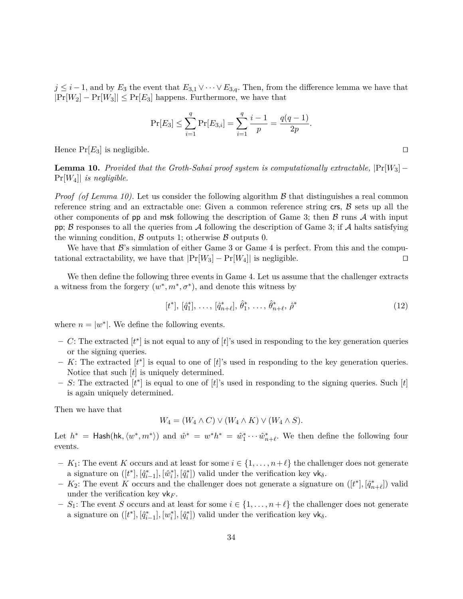$j \leq i-1$ , and by  $E_3$  the event that  $E_{3,1} \vee \cdots \vee E_{3,q}$ . Then, from the difference lemma we have that  $|\Pr[W_2] - \Pr[W_3]| \leq \Pr[E_3]$  happens. Furthermore, we have that

$$
\Pr[E_3] \le \sum_{i=1}^q \Pr[E_{3,i}] = \sum_{i=1}^q \frac{i-1}{p} = \frac{q(q-1)}{2p}.
$$

Hence  $Pr[E_3]$  is negligible.  $\square$ 

**Lemma 10.** Provided that the Groth-Sahai proof system is computationally extractable,  $|Pr[W_3] -$ Pr[*W*4]| *is negligible.*

*Proof* (of Lemma 10). Let us consider the following algorithm  $\beta$  that distinguishes a real common reference string and an extractable one: Given a common reference string  $\mathsf{crs}$ ,  $\mathcal B$  sets up all the other components of pp and msk following the description of Game 3; then  $\beta$  runs  $\mathcal A$  with input pp;  $\beta$  responses to all the queries from A following the description of Game 3; if A halts satisfying the winning condition,  $\beta$  outputs 1; otherwise  $\beta$  outputs 0.

We have that  $\mathcal{B}$ 's simulation of either Game 3 or Game 4 is perfect. From this and the computational extractability, we have that  $|\Pr[W_3] - \Pr[W_4]|$  is negligible.

We then define the following three events in Game 4. Let us assume that the challenger extracts a witness from the forgery  $(w^*, m^*, \sigma^*)$ , and denote this witness by

$$
[t^*], [\hat{q}_1^*], \dots, [\hat{q}_{n+\ell}^*], \hat{\theta}_1^*, \dots, \hat{\theta}_{n+\ell}^*, \hat{\rho}^*
$$
\n
$$
(12)
$$

where  $n = |w^*|$ . We define the following events.

- **–** *C*: The extracted [*t* ∗ ] is not equal to any of [*t*]'s used in responding to the key generation queries or the signing queries.
- **–** *K*: The extracted [*t* ∗ ] is equal to one of [*t*]'s used in responding to the key generation queries. Notice that such [*t*] is uniquely determined.
- **–** *S*: The extracted [*t* ∗ ] is equal to one of [*t*]'s used in responding to the signing queries. Such [*t*] is again uniquely determined.

Then we have that

$$
W_4 = (W_4 \wedge C) \vee (W_4 \wedge K) \vee (W_4 \wedge S).
$$

Let  $h^*$  = Hash(hk,  $\langle w^*, m^* \rangle$ ) and  $\hat{w}^* = w^* h^* = \hat{w}_1^* \cdots \hat{w}_{n+\ell}^*$ . We then define the following four events.

- **−**  $K_1$ : The event  $K$  occurs and at least for some  $i \in \{1, ..., n+\ell\}$  the challenger does not generate a signature on  $([t^*], [\hat{q}_{i-1}^*], [\hat{w}_i^*], [\hat{q}_i^*])$  valid under the verification key  $\mathsf{vk}_\delta$ .
- $-$  *K*<sub>2</sub>: The event *K* occurs and the challenger does not generate a signature on  $([t^*], [\hat{q}^*_{n+\ell}])$  valid under the verification key  $\mathsf{vk}_F$ .
- **–** *S*1: The event *S* occurs and at least for some *i* ∈ {1*, . . . , n* + *`*} the challenger does not generate a signature on  $([t^*], [\hat{q}_{i-1}^*], [w_i^*], [\hat{q}_i^*])$  valid under the verification key  $\mathsf{vk}_\delta$ .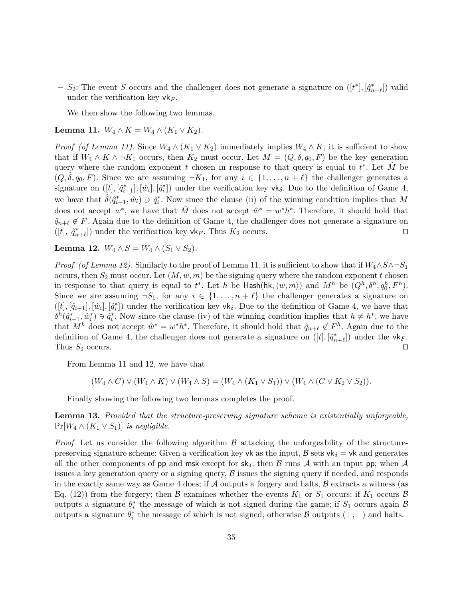$- S_2$ : The event *S* occurs and the challenger does not generate a signature on  $([t^*], [\hat{q}^*_{n+\ell}])$  valid under the verification key  $vk_F$ .

We then show the following two lemmas.

*Lemma 11. W*<sub>4</sub> ∧ *K* = *W*<sub>4</sub> ∧ (*K*<sub>1</sub> ∨ *K*<sub>2</sub>)*.* 

*Proof* (of Lemma 11). Since  $W_4 \wedge (K_1 \vee K_2)$  immediately implies  $W_4 \wedge K$ , it is sufficient to show that if  $W_4 \wedge K \wedge \neg K_1$  occurs, then  $K_2$  must occur. Let  $M = (Q, \delta, q_0, F)$  be the key generation query where the random exponent *t* chosen in response to that query is equal to  $t^*$ . Let  $\hat{M}$  be  $(Q, \delta, q_0, F)$ . Since we are assuming  $\neg K_1$ , for any  $i \in \{1, \ldots, n + \ell\}$  the challenger generates a signature on  $([t], [\hat{q}_{i-1}^*], [\hat{w}_i], [\hat{q}_i^*])$  under the verification key  $\mathsf{v}\mathsf{k}_{\delta}$ . Due to the definition of Game 4, we have that  $\hat{\delta}(\hat{q}_{i-1}^*, \hat{w}_i) \ni \hat{q}_i^*$ . Now since the clause (ii) of the winning condition implies that M does not accept  $w^*$ , we have that  $\hat{M}$  does not accept  $\hat{w}^* = w^* h^*$ . Therefore, it should hold that  $\hat{q}_{n+\ell} \notin F$ . Again due to the definition of Game 4, the challenger does not generate a signature on  $([t], [\hat{q}_{n+\ell}^*])$  under the verification key  $\mathsf{vk}_F$ . Thus  $K_2$  occurs.  $\square$ 

*Lemma 12. W*<sub>4</sub> ∧ *S* = *W*<sub>4</sub> ∧ (*S*<sub>1</sub> ∨ *S*<sub>2</sub>)*.* 

*Proof* (of Lemma 12). Similarly to the proof of Lemma 11, it is sufficient to show that if  $W_4 \wedge S \wedge \neg S_1$ occurs, then  $S_2$  must occur. Let  $(M, w, m)$  be the signing query where the random exponent *t* chosen in response to that query is equal to  $t^*$ . Let *h* be Hash(hk,  $\langle w, m \rangle$ ) and  $M^h$  be  $(Q^h, \delta^h, q_0^h, F^h)$ . Since we are assuming  $\neg S_1$ , for any  $i \in \{1, \ldots, n + \ell\}$  the challenger generates a signature on  $([t], [\hat{q}_{i-1}], [\hat{w}_i], [\hat{q}_i^*])$  under the verification key vk<sub>δ</sub>. Due to the definition of Game 4, we have that  $\delta^h(\hat{q}_{i-1}^*, \hat{w}_i^*) \ni \hat{q}_i^*$ . Now since the clause (iv) of the winning condition implies that  $h \neq h^*$ , we have that  $M^h$  does not accept  $\hat{w}^* = w^*h^*$ . Therefore, it should hold that  $\hat{q}_{n+\ell} \notin F^h$ . Again due to the definition of Game 4, the challenger does not generate a signature on  $([t], [\hat{q}^*_{n+\ell}])$  under the  $\mathsf{vk}_F$ . Thus  $S_2$  occurs.

From Lemma 11 and 12, we have that

$$
(W_4 \wedge C) \vee (W_4 \wedge K) \vee (W_4 \wedge S) = (W_4 \wedge (K_1 \vee S_1)) \vee (W_4 \wedge (C \vee K_2 \vee S_2)).
$$

Finally showing the following two lemmas completes the proof.

**Lemma 13.** *Provided that the structure-preserving signature scheme is existentially unforgeable,*  $Pr[W_4 \wedge (K_1 \vee S_1)]$  *is negligible.* 

*Proof.* Let us consider the following algorithm  $\beta$  attacking the unforgeability of the structurepreserving signature scheme: Given a verification key vk as the input,  $\beta$  sets vk<sub> $\delta$ </sub> = vk and generates all the other components of pp and msk except for  $s k_{\delta}$ ; then B runs A with an input pp; when A issues a key generation query or a signing query,  $\beta$  issues the signing query if needed, and responds in the exactly same way as Game 4 does; if  $\mathcal A$  outputs a forgery and halts,  $\mathcal B$  extracts a witness (as Eq. (12)) from the forgery; then B examines whether the events  $K_1$  or  $S_1$  occurs; if  $K_1$  occurs B outputs a signature  $\theta_i^*$  the message of which is not signed during the game; if  $S_1$  occurs again  $\beta$ outputs a signature  $\theta_i^*$  the message of which is not signed; otherwise B outputs  $(\perp, \perp)$  and halts.